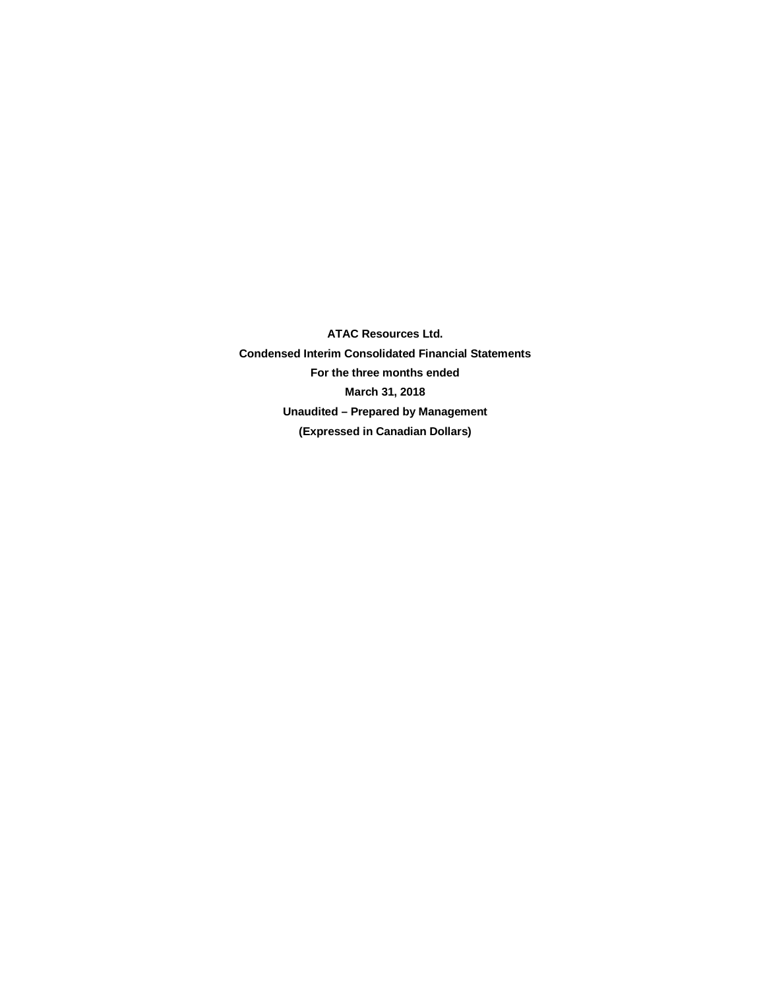**ATAC Resources Ltd. Condensed Interim Consolidated Financial Statements For the three months ended March 31, 2018 Unaudited – Prepared by Management (Expressed in Canadian Dollars)**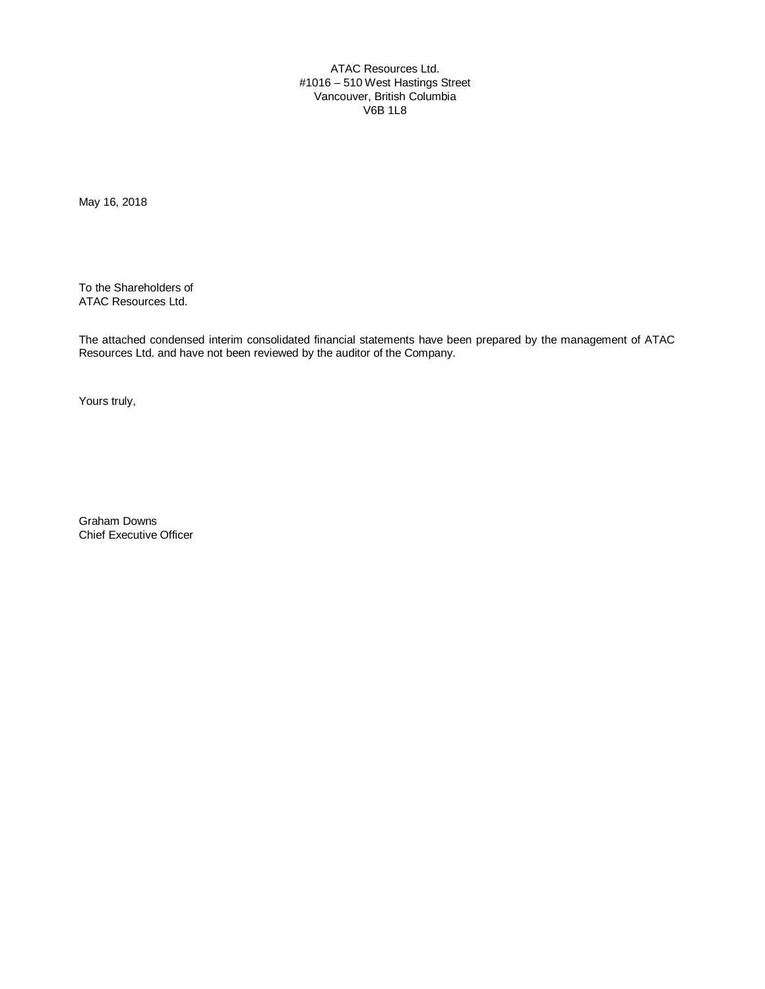ATAC Resources Ltd. #1016 – 510 West Hastings Street Vancouver, British Columbia V6B 1L8

May 16, 2018

To the Shareholders of ATAC Resources Ltd.

The attached condensed interim consolidated financial statements have been prepared by the management of ATAC Resources Ltd. and have not been reviewed by the auditor of the Company.

Yours truly,

Graham Downs Chief Executive Officer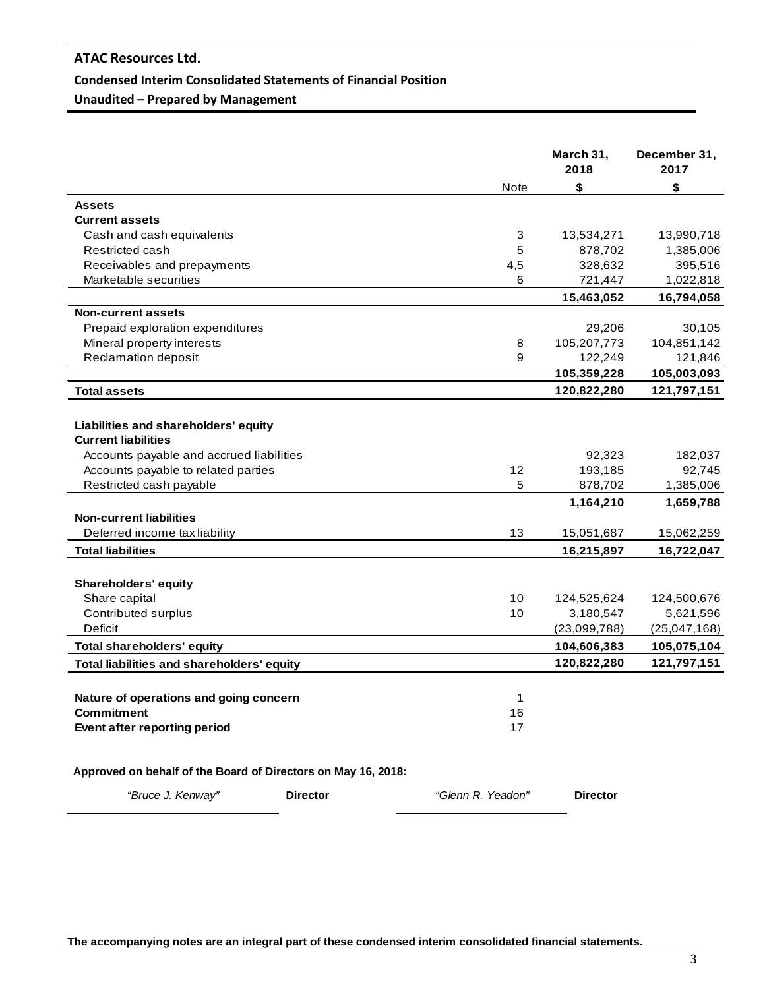#### **Condensed Interim Consolidated Statements of Financial Position**

**Unaudited – Prepared by Management**

|                                                               |                   | March 31,<br>2018 | December 31,<br>2017 |
|---------------------------------------------------------------|-------------------|-------------------|----------------------|
|                                                               | <b>Note</b>       | \$                | \$                   |
| <b>Assets</b>                                                 |                   |                   |                      |
| <b>Current assets</b>                                         |                   |                   |                      |
| Cash and cash equivalents                                     | 3                 | 13,534,271        | 13,990,718           |
| Restricted cash                                               | 5                 | 878,702           | 1,385,006            |
| Receivables and prepayments                                   | 4,5               | 328,632           | 395,516              |
| Marketable securities                                         | 6                 | 721,447           | 1,022,818            |
|                                                               |                   | 15,463,052        | 16,794,058           |
| Non-current assets                                            |                   |                   |                      |
| Prepaid exploration expenditures                              |                   | 29,206            | 30,105               |
| Mineral property interests                                    | 8                 | 105,207,773       | 104,851,142          |
| Reclamation deposit                                           | 9                 | 122,249           | 121,846              |
|                                                               |                   | 105,359,228       | 105,003,093          |
| <b>Total assets</b>                                           |                   | 120,822,280       | 121,797,151          |
|                                                               |                   |                   |                      |
| Liabilities and shareholders' equity                          |                   |                   |                      |
| <b>Current liabilities</b>                                    |                   |                   |                      |
| Accounts payable and accrued liabilities                      |                   | 92,323            | 182,037              |
| Accounts payable to related parties                           | 12                | 193,185           | 92,745               |
| Restricted cash payable                                       | 5                 | 878,702           | 1,385,006            |
|                                                               |                   | 1,164,210         | 1,659,788            |
| <b>Non-current liabilities</b>                                |                   |                   |                      |
| Deferred income tax liability                                 | 13                | 15,051,687        | 15,062,259           |
| <b>Total liabilities</b>                                      |                   | 16,215,897        | 16,722,047           |
|                                                               |                   |                   |                      |
| <b>Shareholders' equity</b>                                   |                   |                   |                      |
| Share capital                                                 | 10                | 124,525,624       | 124,500,676          |
| Contributed surplus                                           | 10                | 3,180,547         | 5,621,596            |
| <b>Deficit</b>                                                |                   | (23,099,788)      | (25,047,168)         |
| <b>Total shareholders' equity</b>                             |                   | 104,606,383       | 105,075,104          |
|                                                               |                   | 120,822,280       | 121,797,151          |
| Total liabilities and shareholders' equity                    |                   |                   |                      |
|                                                               |                   |                   |                      |
| Nature of operations and going concern                        | 1                 |                   |                      |
| <b>Commitment</b>                                             | 16                |                   |                      |
| Event after reporting period                                  | 17                |                   |                      |
| Approved on behalf of the Board of Directors on May 16, 2018: |                   |                   |                      |
| "Bruce J. Kenway"<br><b>Director</b>                          | "Glenn R. Yeadon" | <b>Director</b>   |                      |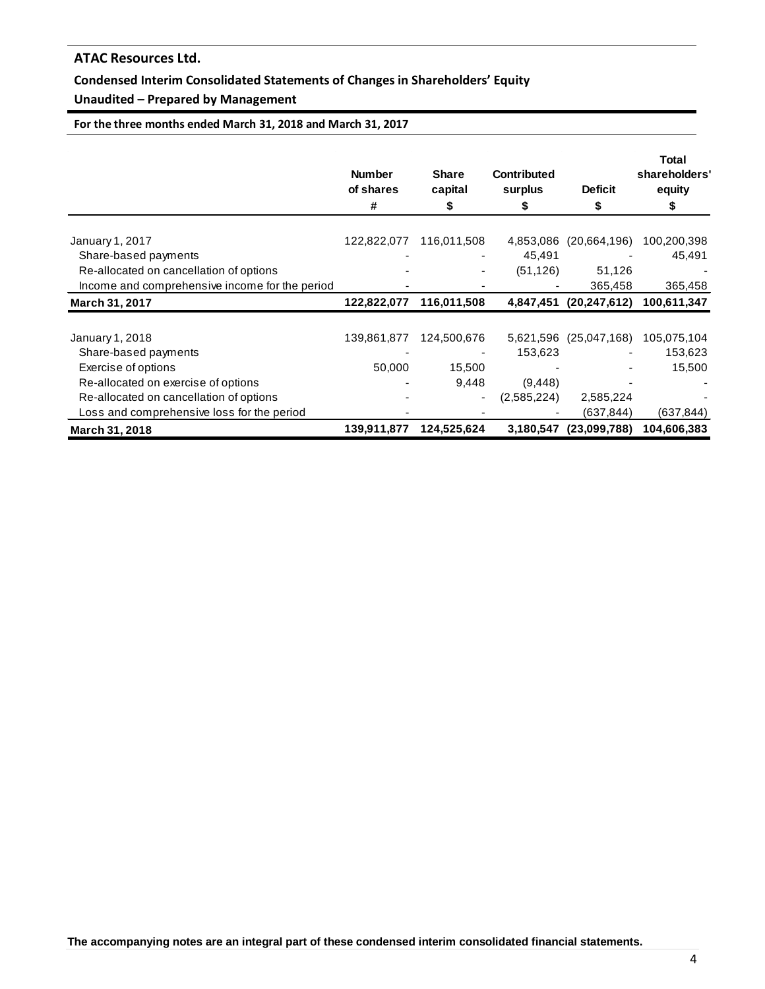## **Condensed Interim Consolidated Statements of Changes in Shareholders' Equity**

## **Unaudited – Prepared by Management**

**For the three months ended March 31, 2018 and March 31, 2017**

|                                                | <b>Number</b><br>of shares<br># | <b>Share</b><br>capital<br>5 | <b>Contributed</b><br>surplus | <b>Deficit</b><br>\$   | <b>Total</b><br>shareholders'<br>equity<br>Ъ |
|------------------------------------------------|---------------------------------|------------------------------|-------------------------------|------------------------|----------------------------------------------|
| January 1, 2017                                | 122,822,077                     | 116,011,508                  | 4,853,086                     | (20,664,196)           | 100,200,398                                  |
| Share-based payments                           |                                 |                              | 45,491                        |                        | 45,491                                       |
| Re-allocated on cancellation of options        |                                 | ٠                            | (51, 126)                     | 51,126                 |                                              |
| Income and comprehensive income for the period |                                 |                              |                               | 365,458                | 365,458                                      |
| <b>March 31, 2017</b>                          | 122,822,077                     | 116,011,508                  | 4,847,451                     | (20, 247, 612)         | 100.611,347                                  |
|                                                |                                 |                              |                               |                        |                                              |
| January 1, 2018                                | 139,861,877                     | 124,500,676                  | 153,623                       | 5,621,596 (25,047,168) | 105,075,104<br>153,623                       |
| Share-based payments                           | 50,000                          | 15,500                       |                               |                        | 15,500                                       |
| Exercise of options                            |                                 |                              |                               |                        |                                              |
| Re-allocated on exercise of options            |                                 | 9,448                        | (9, 448)                      |                        |                                              |
| Re-allocated on cancellation of options        |                                 |                              | (2,585,224)                   | 2,585,224              |                                              |
| Loss and comprehensive loss for the period     |                                 |                              |                               | (637, 844)             | (637,844)                                    |
| March 31, 2018                                 | 139,911,877                     | 124,525,624                  | 3,180,547                     | (23,099,788)           | 104,606,383                                  |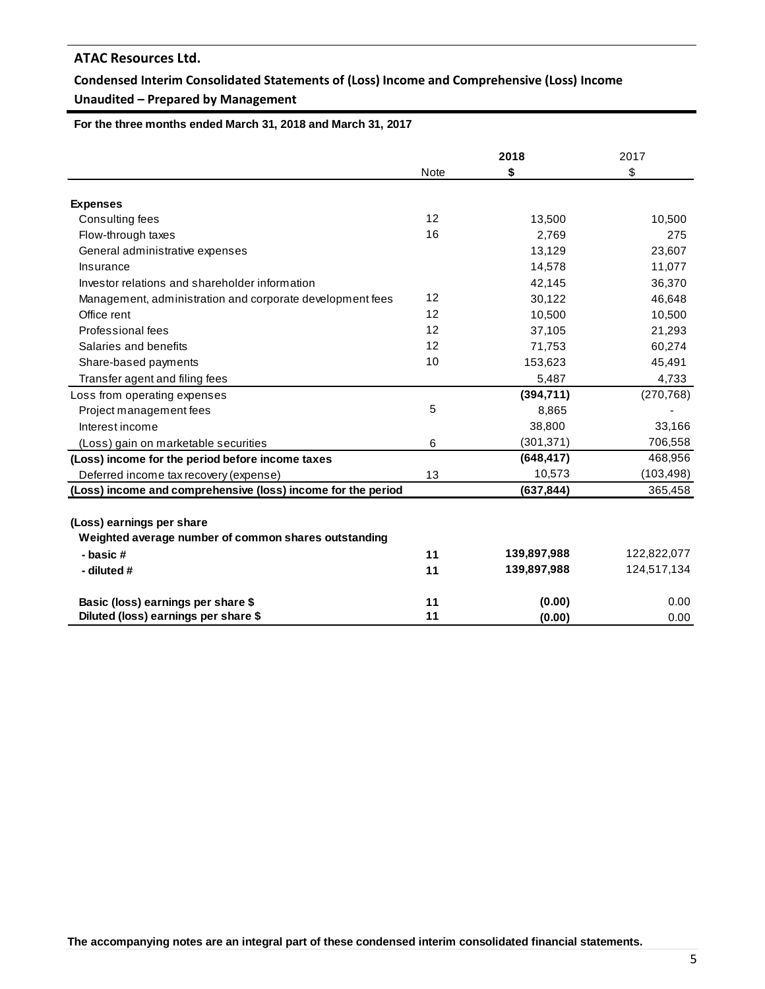## **Condensed Interim Consolidated Statements of (Loss) Income and Comprehensive (Loss) Income Unaudited – Prepared by Management**

 **For the three months ended March 31, 2018 and March 31, 2017**

|                                                              |             | 2018        | 2017        |
|--------------------------------------------------------------|-------------|-------------|-------------|
|                                                              | <b>Note</b> | \$          | \$          |
|                                                              |             |             |             |
| <b>Expenses</b>                                              |             |             |             |
| Consulting fees                                              | 12          | 13,500      | 10,500      |
| Flow-through taxes                                           | 16          | 2,769       | 275         |
| General administrative expenses                              |             | 13,129      | 23,607      |
| Insurance                                                    |             | 14,578      | 11,077      |
| Investor relations and shareholder information               |             | 42,145      | 36,370      |
| Management, administration and corporate development fees    | 12          | 30,122      | 46,648      |
| Office rent                                                  | 12          | 10,500      | 10,500      |
| Professional fees                                            | 12          | 37,105      | 21,293      |
| Salaries and benefits                                        | 12          | 71,753      | 60,274      |
| Share-based payments                                         | 10          | 153,623     | 45,491      |
| Transfer agent and filing fees                               |             | 5,487       | 4,733       |
| Loss from operating expenses                                 |             | (394, 711)  | (270, 768)  |
| Project management fees                                      | 5           | 8,865       |             |
| Interest income                                              |             | 38,800      | 33,166      |
| (Loss) gain on marketable securities                         | 6           | (301, 371)  | 706,558     |
| (Loss) income for the period before income taxes             |             | (648, 417)  | 468,956     |
| Deferred income tax recovery (expense)                       | 13          | 10,573      | (103,498)   |
| (Loss) income and comprehensive (loss) income for the period |             | (637, 844)  | 365,458     |
|                                                              |             |             |             |
| (Loss) earnings per share                                    |             |             |             |
| Weighted average number of common shares outstanding         |             |             |             |
| - basic#                                                     | 11          | 139,897,988 | 122,822,077 |
| - diluted #                                                  | 11          | 139,897,988 | 124,517,134 |
| Basic (loss) earnings per share \$                           | 11          | (0.00)      | 0.00        |
| Diluted (loss) earnings per share \$                         | 11          | (0.00)      | 0.00        |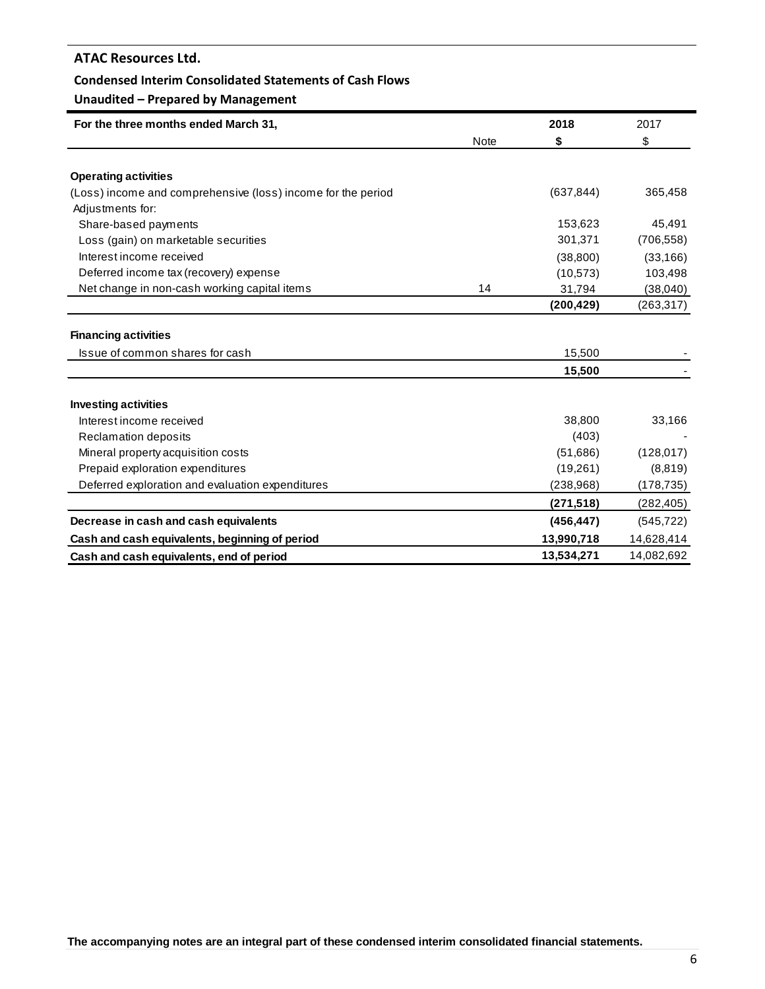#### **Condensed Interim Consolidated Statements of Cash Flows**

## **Unaudited – Prepared by Management**

| For the three months ended March 31,                             |             | 2018       | 2017       |
|------------------------------------------------------------------|-------------|------------|------------|
|                                                                  | <b>Note</b> | \$         | \$         |
| <b>Operating activities</b>                                      |             |            |            |
|                                                                  |             | (637, 844) | 365,458    |
| (Loss) income and comprehensive (loss) income for the period     |             |            |            |
| Adjustments for:<br>Share-based payments                         |             | 153,623    | 45,491     |
|                                                                  |             | 301,371    | (706, 558) |
| Loss (gain) on marketable securities<br>Interest income received |             |            |            |
|                                                                  |             | (38, 800)  | (33, 166)  |
| Deferred income tax (recovery) expense                           |             | (10, 573)  | 103,498    |
| Net change in non-cash working capital items                     | 14          | 31,794     | (38,040)   |
|                                                                  |             | (200, 429) | (263, 317) |
| <b>Financing activities</b>                                      |             |            |            |
| Issue of common shares for cash                                  |             | 15,500     |            |
|                                                                  |             | 15,500     |            |
| <b>Investing activities</b>                                      |             |            |            |
| Interest income received                                         |             | 38,800     | 33,166     |
| <b>Reclamation deposits</b>                                      |             | (403)      |            |
| Mineral property acquisition costs                               |             | (51,686)   | (128, 017) |
| Prepaid exploration expenditures                                 |             | (19,261)   | (8, 819)   |
| Deferred exploration and evaluation expenditures                 |             | (238, 968) | (178, 735) |
|                                                                  |             | (271, 518) | (282, 405) |
| Decrease in cash and cash equivalents                            |             | (456, 447) | (545, 722) |
| Cash and cash equivalents, beginning of period                   |             | 13,990,718 | 14,628,414 |
| Cash and cash equivalents, end of period                         |             | 13,534,271 | 14,082,692 |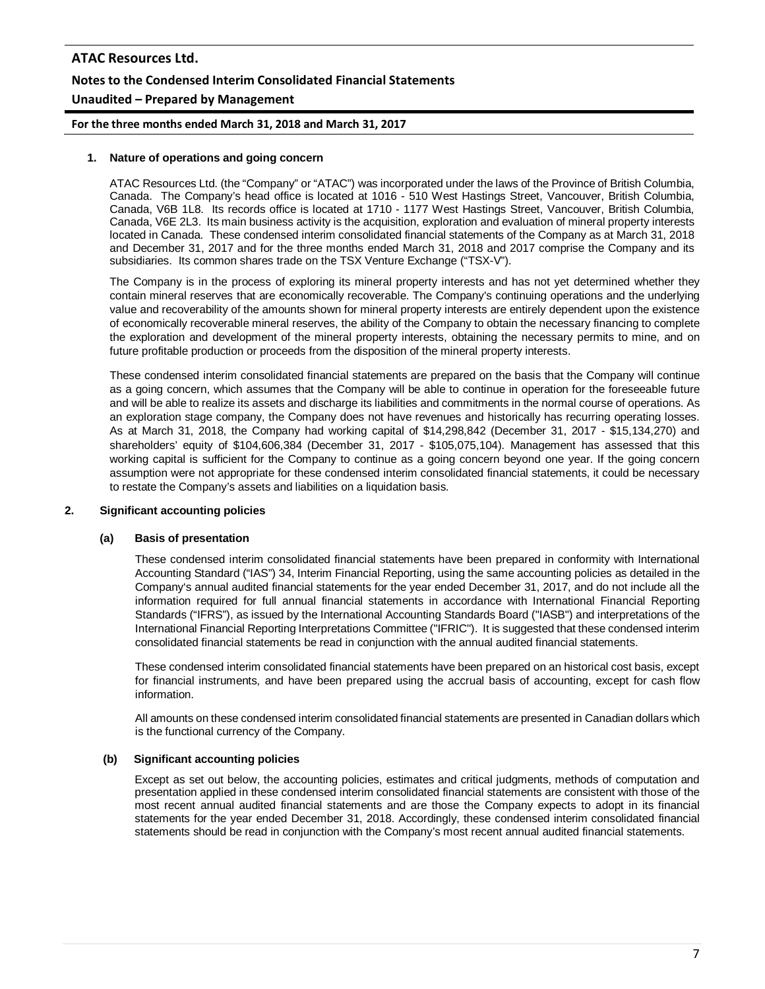# **ATAC Resources Ltd. Notes to the Condensed Interim Consolidated Financial Statements Unaudited – Prepared by Management**

**For the three months ended March 31, 2018 and March 31, 2017**

#### **1. Nature of operations and going concern**

ATAC Resources Ltd. (the "Company" or "ATAC") was incorporated under the laws of the Province of British Columbia, Canada. The Company's head office is located at 1016 - 510 West Hastings Street, Vancouver, British Columbia, Canada, V6B 1L8. Its records office is located at 1710 - 1177 West Hastings Street, Vancouver, British Columbia, Canada, V6E 2L3. Its main business activity is the acquisition, exploration and evaluation of mineral property interests located in Canada. These condensed interim consolidated financial statements of the Company as at March 31, 2018 and December 31, 2017 and for the three months ended March 31, 2018 and 2017 comprise the Company and its subsidiaries. Its common shares trade on the TSX Venture Exchange ("TSX-V").

The Company is in the process of exploring its mineral property interests and has not yet determined whether they contain mineral reserves that are economically recoverable. The Company's continuing operations and the underlying value and recoverability of the amounts shown for mineral property interests are entirely dependent upon the existence of economically recoverable mineral reserves, the ability of the Company to obtain the necessary financing to complete the exploration and development of the mineral property interests, obtaining the necessary permits to mine, and on future profitable production or proceeds from the disposition of the mineral property interests.

These condensed interim consolidated financial statements are prepared on the basis that the Company will continue as a going concern, which assumes that the Company will be able to continue in operation for the foreseeable future and will be able to realize its assets and discharge its liabilities and commitments in the normal course of operations. As an exploration stage company, the Company does not have revenues and historically has recurring operating losses. As at March 31, 2018, the Company had working capital of \$14,298,842 (December 31, 2017 - \$15,134,270) and shareholders' equity of \$104,606,384 (December 31, 2017 - \$105,075,104). Management has assessed that this working capital is sufficient for the Company to continue as a going concern beyond one year. If the going concern assumption were not appropriate for these condensed interim consolidated financial statements, it could be necessary to restate the Company's assets and liabilities on a liquidation basis.

#### **2. Significant accounting policies**

#### **(a) Basis of presentation**

These condensed interim consolidated financial statements have been prepared in conformity with International Accounting Standard ("IAS") 34, Interim Financial Reporting, using the same accounting policies as detailed in the Company's annual audited financial statements for the year ended December 31, 2017, and do not include all the information required for full annual financial statements in accordance with International Financial Reporting Standards ("IFRS"), as issued by the International Accounting Standards Board ("IASB") and interpretations of the International Financial Reporting Interpretations Committee ("IFRIC"). It is suggested that these condensed interim consolidated financial statements be read in conjunction with the annual audited financial statements.

These condensed interim consolidated financial statements have been prepared on an historical cost basis, except for financial instruments, and have been prepared using the accrual basis of accounting, except for cash flow information.

All amounts on these condensed interim consolidated financial statements are presented in Canadian dollars which is the functional currency of the Company.

#### **(b) Significant accounting policies**

Except as set out below, the accounting policies, estimates and critical judgments, methods of computation and presentation applied in these condensed interim consolidated financial statements are consistent with those of the most recent annual audited financial statements and are those the Company expects to adopt in its financial statements for the year ended December 31, 2018. Accordingly, these condensed interim consolidated financial statements should be read in conjunction with the Company's most recent annual audited financial statements.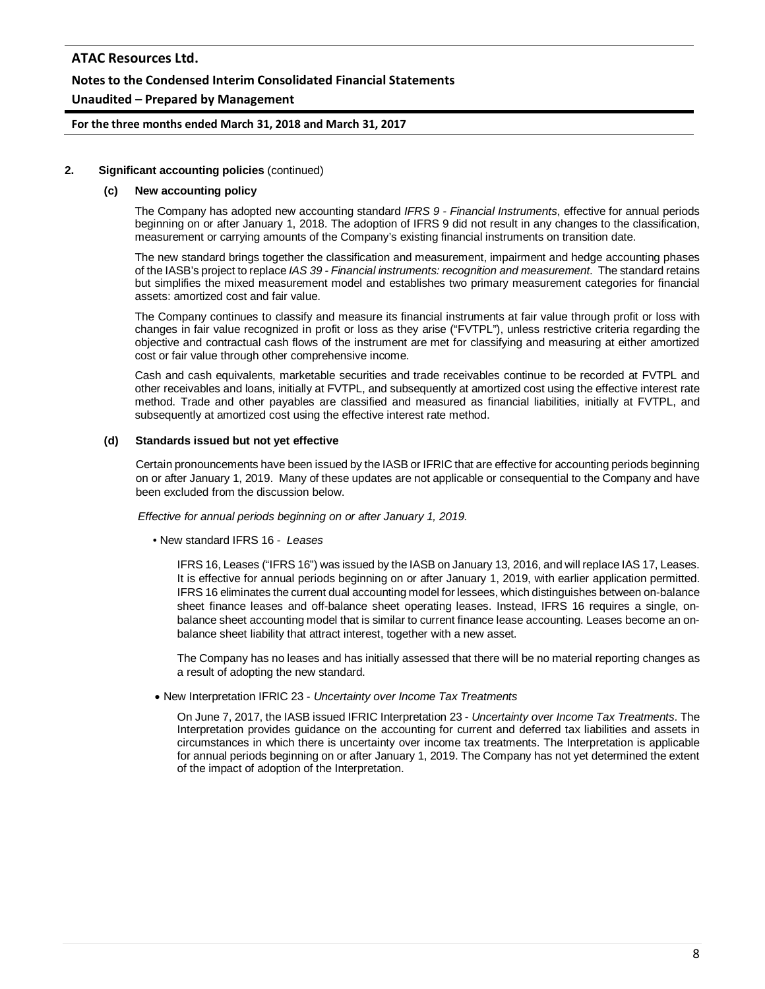## **Notes to the Condensed Interim Consolidated Financial Statements**

#### **Unaudited – Prepared by Management**

**For the three months ended March 31, 2018 and March 31, 2017**

#### **2. Significant accounting policies** (continued)

#### **(c) New accounting policy**

The Company has adopted new accounting standard *IFRS 9 - Financial Instruments*, effective for annual periods beginning on or after January 1, 2018. The adoption of IFRS 9 did not result in any changes to the classification, measurement or carrying amounts of the Company's existing financial instruments on transition date.

The new standard brings together the classification and measurement, impairment and hedge accounting phases of the IASB's project to replace *IAS 39 - Financial instruments: recognition and measurement*. The standard retains but simplifies the mixed measurement model and establishes two primary measurement categories for financial assets: amortized cost and fair value.

The Company continues to classify and measure its financial instruments at fair value through profit or loss with changes in fair value recognized in profit or loss as they arise ("FVTPL"), unless restrictive criteria regarding the objective and contractual cash flows of the instrument are met for classifying and measuring at either amortized cost or fair value through other comprehensive income.

Cash and cash equivalents, marketable securities and trade receivables continue to be recorded at FVTPL and other receivables and loans, initially at FVTPL, and subsequently at amortized cost using the effective interest rate method. Trade and other payables are classified and measured as financial liabilities, initially at FVTPL, and subsequently at amortized cost using the effective interest rate method.

#### **(d) Standards issued but not yet effective**

Certain pronouncements have been issued by the IASB or IFRIC that are effective for accounting periods beginning on or after January 1, 2019. Many of these updates are not applicable or consequential to the Company and have been excluded from the discussion below.

*Effective for annual periods beginning on or after January 1, 2019.*

• New standard IFRS 16 - *Leases*

IFRS 16, Leases ("IFRS 16") was issued by the IASB on January 13, 2016, and will replace IAS 17, Leases. It is effective for annual periods beginning on or after January 1, 2019, with earlier application permitted. IFRS 16 eliminates the current dual accounting model for lessees, which distinguishes between on-balance sheet finance leases and off-balance sheet operating leases. Instead, IFRS 16 requires a single, onbalance sheet accounting model that is similar to current finance lease accounting. Leases become an onbalance sheet liability that attract interest, together with a new asset.

The Company has no leases and has initially assessed that there will be no material reporting changes as a result of adopting the new standard.

• New Interpretation IFRIC 23 - *Uncertainty over Income Tax Treatments*

On June 7, 2017, the IASB issued IFRIC Interpretation 23 - *Uncertainty over Income Tax Treatments*. The Interpretation provides guidance on the accounting for current and deferred tax liabilities and assets in circumstances in which there is uncertainty over income tax treatments. The Interpretation is applicable for annual periods beginning on or after January 1, 2019. The Company has not yet determined the extent of the impact of adoption of the Interpretation.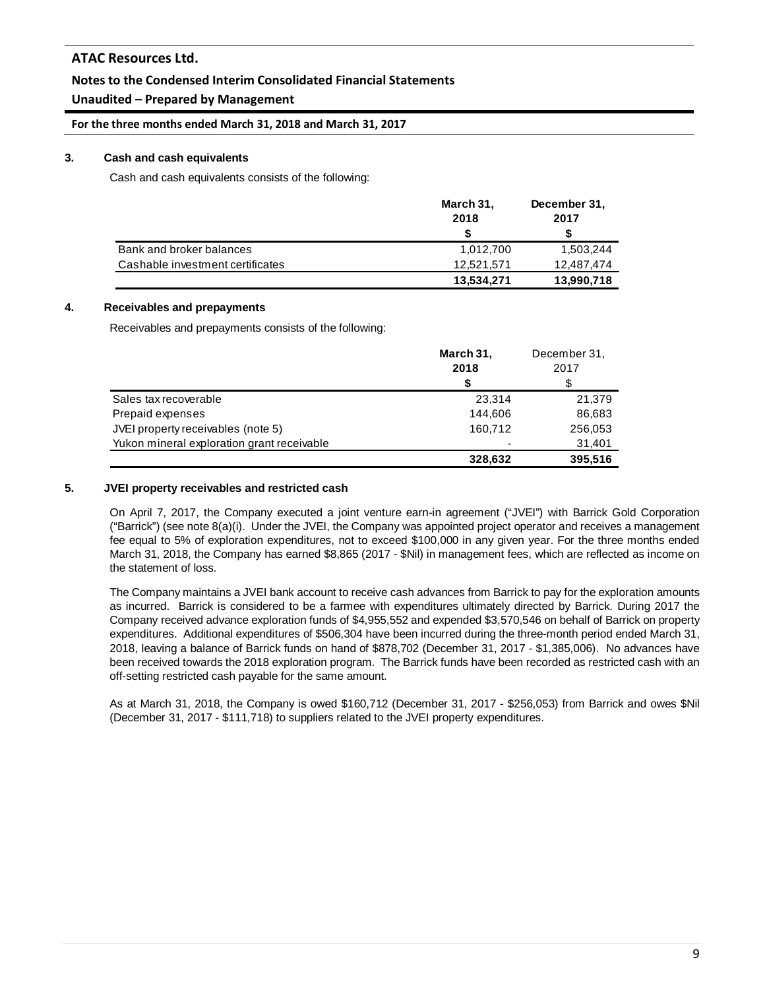## **Notes to the Condensed Interim Consolidated Financial Statements**

## **Unaudited – Prepared by Management**

**For the three months ended March 31, 2018 and March 31, 2017**

#### **3. Cash and cash equivalents**

Cash and cash equivalents consists of the following:

|                                  | March 31,  | December 31, |
|----------------------------------|------------|--------------|
|                                  | 2018       | 2017         |
|                                  |            |              |
| Bank and broker balances         | 1,012,700  | 1,503,244    |
| Cashable investment certificates | 12,521,571 | 12,487,474   |
|                                  | 13,534,271 | 13,990,718   |

#### **4. Receivables and prepayments**

Receivables and prepayments consists of the following:

|                                            | March 31,      | December 31, |
|--------------------------------------------|----------------|--------------|
|                                            | 2018           | 2017         |
|                                            | S              | S            |
| Sales tax recoverable                      | 23.314         | 21.379       |
| Prepaid expenses                           | 144.606        | 86,683       |
| JVEI property receivables (note 5)         | 160.712        | 256,053      |
| Yukon mineral exploration grant receivable | $\overline{a}$ | 31,401       |
|                                            | 328,632        | 395,516      |

#### **5. JVEI property receivables and restricted cash**

On April 7, 2017, the Company executed a joint venture earn-in agreement ("JVEI") with Barrick Gold Corporation ("Barrick") (see note 8(a)(i). Under the JVEI, the Company was appointed project operator and receives a management fee equal to 5% of exploration expenditures, not to exceed \$100,000 in any given year. For the three months ended March 31, 2018, the Company has earned \$8,865 (2017 - \$Nil) in management fees, which are reflected as income on the statement of loss.

The Company maintains a JVEI bank account to receive cash advances from Barrick to pay for the exploration amounts as incurred. Barrick is considered to be a farmee with expenditures ultimately directed by Barrick. During 2017 the Company received advance exploration funds of \$4,955,552 and expended \$3,570,546 on behalf of Barrick on property expenditures. Additional expenditures of \$506,304 have been incurred during the three-month period ended March 31, 2018, leaving a balance of Barrick funds on hand of \$878,702 (December 31, 2017 - \$1,385,006). No advances have been received towards the 2018 exploration program. The Barrick funds have been recorded as restricted cash with an off-setting restricted cash payable for the same amount.

As at March 31, 2018, the Company is owed \$160,712 (December 31, 2017 - \$256,053) from Barrick and owes \$Nil (December 31, 2017 - \$111,718) to suppliers related to the JVEI property expenditures.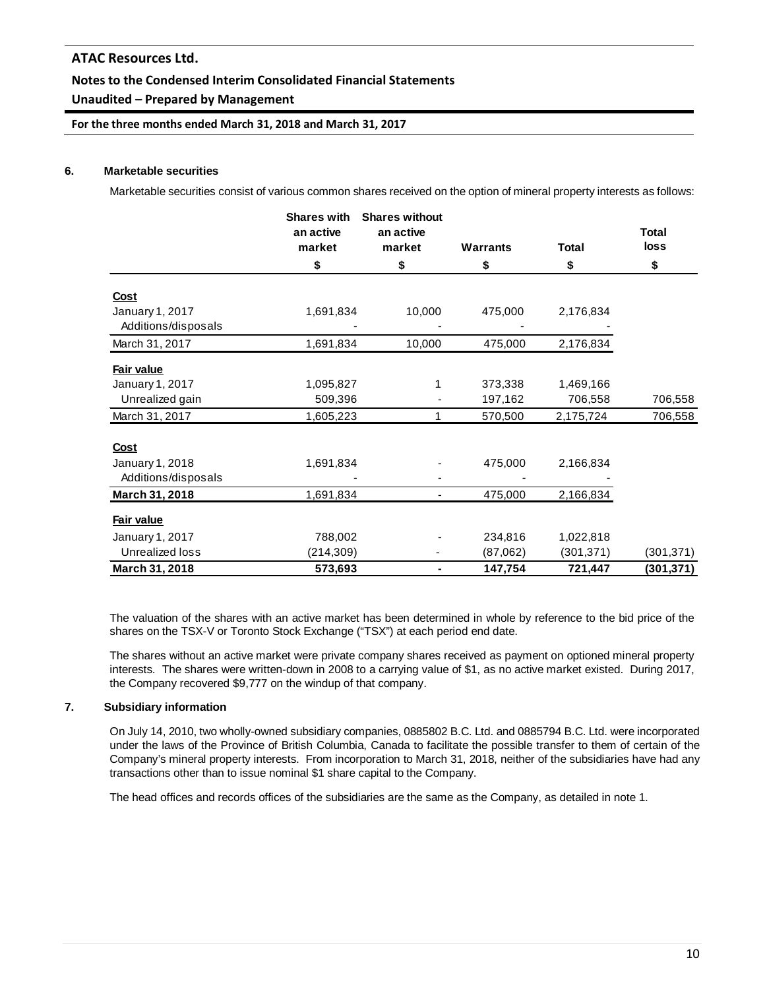## **Unaudited – Prepared by Management**

**For the three months ended March 31, 2018 and March 31, 2017**

#### **6. Marketable securities**

Marketable securities consist of various common shares received on the option of mineral property interests as follows:

|                     | <b>Shares with</b><br>an active<br>market | <b>Shares without</b><br>an active<br>market | <b>Warrants</b> | <b>Total</b> | <b>Total</b><br>loss |
|---------------------|-------------------------------------------|----------------------------------------------|-----------------|--------------|----------------------|
|                     | \$                                        | \$                                           | \$              | \$           | \$                   |
| Cost                |                                           |                                              |                 |              |                      |
| January 1, 2017     | 1,691,834                                 | 10,000                                       | 475,000         | 2,176,834    |                      |
| Additions/disposals |                                           |                                              |                 |              |                      |
| March 31, 2017      | 1,691,834                                 | 10,000                                       | 475,000         | 2,176,834    |                      |
| Fair value          |                                           |                                              |                 |              |                      |
| January 1, 2017     | 1,095,827                                 | 1                                            | 373,338         | 1,469,166    |                      |
| Unrealized gain     | 509,396                                   |                                              | 197,162         | 706,558      | 706,558              |
| March 31, 2017      | 1,605,223                                 | 1                                            | 570,500         | 2,175,724    | 706,558              |
| Cost                |                                           |                                              |                 |              |                      |
| January 1, 2018     | 1,691,834                                 |                                              | 475,000         | 2,166,834    |                      |
| Additions/disposals |                                           |                                              |                 |              |                      |
| March 31, 2018      | 1,691,834                                 | ۰                                            | 475,000         | 2,166,834    |                      |
| Fair value          |                                           |                                              |                 |              |                      |
| January 1, 2017     | 788,002                                   |                                              | 234,816         | 1,022,818    |                      |
| Unrealized loss     | (214, 309)                                |                                              | (87,062)        | (301, 371)   | (301,371)            |
| March 31, 2018      | 573,693                                   | ۰                                            | 147,754         | 721,447      | (301, 371)           |

The valuation of the shares with an active market has been determined in whole by reference to the bid price of the shares on the TSX-V or Toronto Stock Exchange ("TSX") at each period end date.

The shares without an active market were private company shares received as payment on optioned mineral property interests. The shares were written-down in 2008 to a carrying value of \$1, as no active market existed. During 2017, the Company recovered \$9,777 on the windup of that company.

#### **7. Subsidiary information**

On July 14, 2010, two wholly-owned subsidiary companies, 0885802 B.C. Ltd. and 0885794 B.C. Ltd. were incorporated under the laws of the Province of British Columbia, Canada to facilitate the possible transfer to them of certain of the Company's mineral property interests. From incorporation to March 31, 2018, neither of the subsidiaries have had any transactions other than to issue nominal \$1 share capital to the Company.

The head offices and records offices of the subsidiaries are the same as the Company, as detailed in note 1.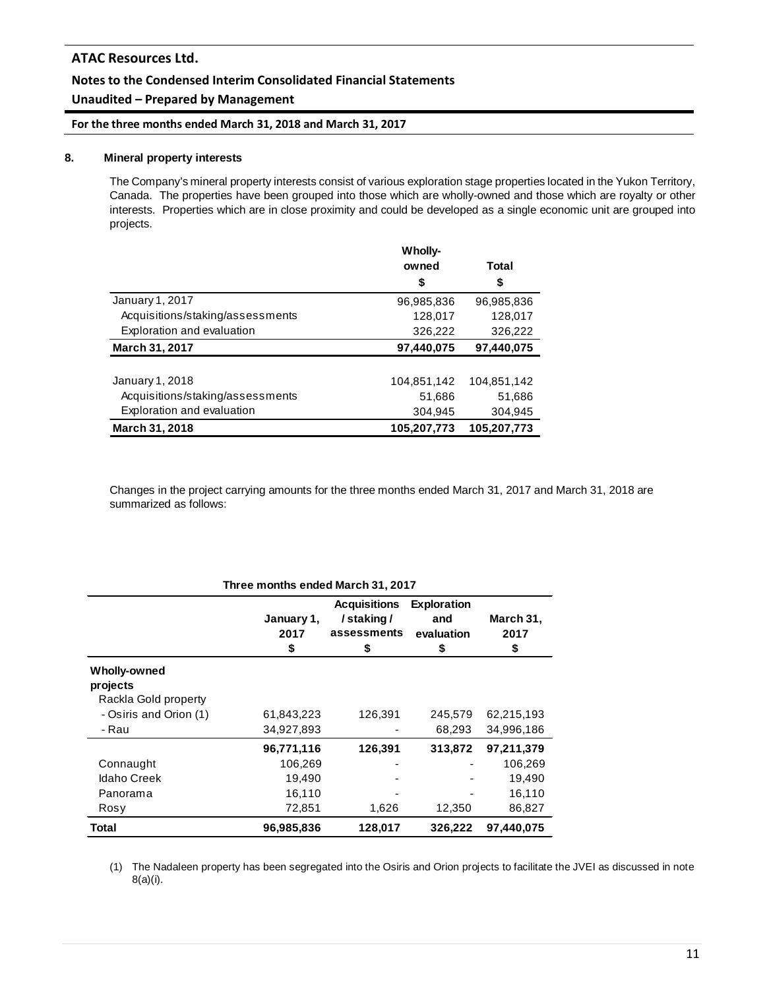## **Notes to the Condensed Interim Consolidated Financial Statements**

## **Unaudited – Prepared by Management**

**For the three months ended March 31, 2018 and March 31, 2017**

#### **8. Mineral property interests**

The Company's mineral property interests consist of various exploration stage properties located in the Yukon Territory, Canada. The properties have been grouped into those which are wholly-owned and those which are royalty or other interests. Properties which are in close proximity and could be developed as a single economic unit are grouped into projects.

|                                  | Wholly-     |             |
|----------------------------------|-------------|-------------|
|                                  | owned       | Total       |
|                                  | \$          | \$          |
| January 1, 2017                  | 96,985,836  | 96.985.836  |
| Acquisitions/staking/assessments | 128,017     | 128,017     |
| Exploration and evaluation       | 326,222     | 326,222     |
| March 31, 2017                   | 97,440,075  | 97,440,075  |
|                                  |             |             |
| January 1, 2018                  | 104,851,142 | 104,851,142 |
| Acquisitions/staking/assessments | 51,686      | 51,686      |
| Exploration and evaluation       | 304,945     | 304,945     |
| <b>March 31, 2018</b>            | 105.207.773 | 105.207.773 |

Changes in the project carrying amounts for the three months ended March 31, 2017 and March 31, 2018 are summarized as follows:

| Three months ended March 31, 2017                |                          |                                                       |                                               |                         |  |  |
|--------------------------------------------------|--------------------------|-------------------------------------------------------|-----------------------------------------------|-------------------------|--|--|
|                                                  | January 1,<br>2017<br>\$ | <b>Acquisitions</b><br>/staking/<br>assessments<br>\$ | <b>Exploration</b><br>and<br>evaluation<br>\$ | March 31,<br>2017<br>\$ |  |  |
| Wholly-owned<br>projects<br>Rackla Gold property |                          |                                                       |                                               |                         |  |  |
| - Osiris and Orion (1)                           | 61,843,223               | 126,391                                               | 245,579                                       | 62,215,193              |  |  |
| - Rau                                            | 34,927,893               |                                                       | 68,293                                        | 34,996,186              |  |  |
|                                                  | 96,771,116               | 126,391                                               | 313,872                                       | 97,211,379              |  |  |
| Connaught                                        | 106,269                  |                                                       |                                               | 106,269                 |  |  |
| <b>Idaho Creek</b>                               | 19,490                   |                                                       |                                               | 19,490                  |  |  |
| Panorama                                         | 16,110                   |                                                       |                                               | 16,110                  |  |  |
| Rosy                                             | 72,851                   | 1,626                                                 | 12,350                                        | 86,827                  |  |  |
| Total                                            | 96,985,836               | 128,017                                               | 326,222                                       | 97.440.075              |  |  |

(1) The Nadaleen property has been segregated into the Osiris and Orion projects to facilitate the JVEI as discussed in note 8(a)(i).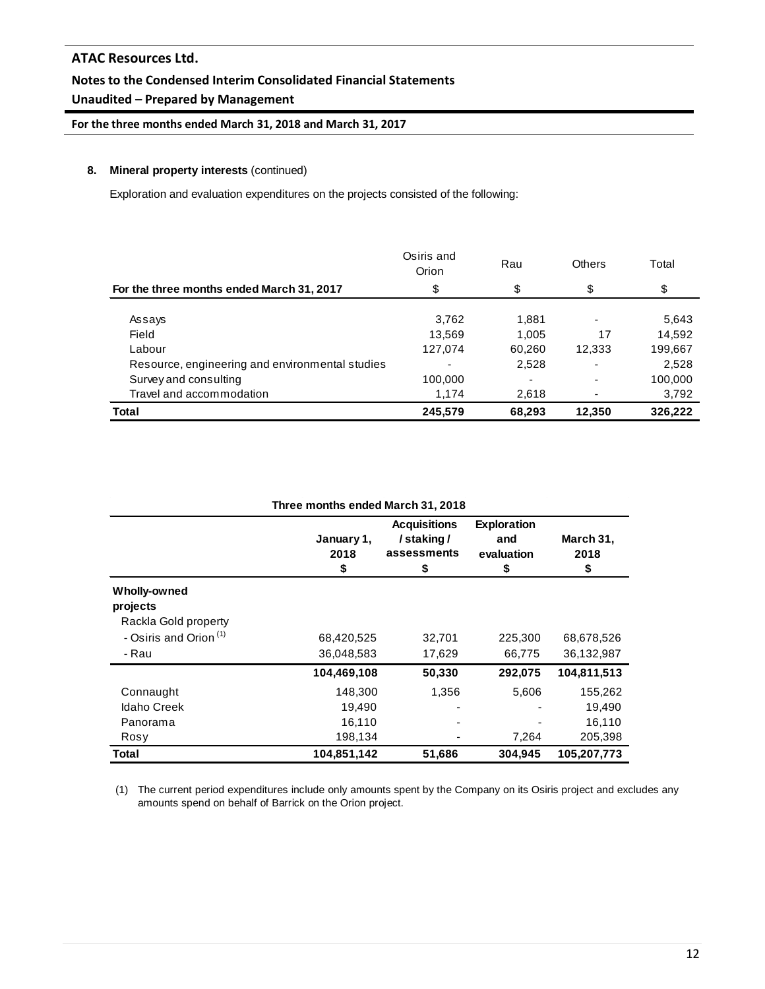## **Unaudited – Prepared by Management**

**For the three months ended March 31, 2018 and March 31, 2017**

#### **8. Mineral property interests** (continued)

Exploration and evaluation expenditures on the projects consisted of the following:

|                                                 | Osiris and<br>Orion | Rau    | <b>Others</b>            | Total   |
|-------------------------------------------------|---------------------|--------|--------------------------|---------|
| For the three months ended March 31, 2017       | \$                  | \$     | \$                       | \$      |
| Assays                                          | 3,762               | 1.881  |                          | 5,643   |
| Field                                           | 13.569              | 1.005  | 17                       | 14,592  |
| Labour                                          | 127,074             | 60,260 | 12,333                   | 199,667 |
| Resource, engineering and environmental studies |                     | 2,528  | $\overline{\phantom{0}}$ | 2,528   |
| Survey and consulting                           | 100,000             |        |                          | 100,000 |
| Travel and accommodation                        | 1,174               | 2,618  |                          | 3,792   |
| <b>Total</b>                                    | 245,579             | 68,293 | 12,350                   | 326,222 |

| Three months ended March 31, 2018 |                          |                                                      |                                              |                         |  |  |  |
|-----------------------------------|--------------------------|------------------------------------------------------|----------------------------------------------|-------------------------|--|--|--|
|                                   | January 1,<br>2018<br>\$ | <b>Acquisitions</b><br>/staking/<br>assessments<br>5 | <b>Exploration</b><br>and<br>evaluation<br>S | March 31,<br>2018<br>\$ |  |  |  |
| Wholly-owned                      |                          |                                                      |                                              |                         |  |  |  |
| projects                          |                          |                                                      |                                              |                         |  |  |  |
| Rackla Gold property              |                          |                                                      |                                              |                         |  |  |  |
| - Osiris and Orion <sup>(1)</sup> | 68,420,525               | 32,701                                               | 225,300                                      | 68,678,526              |  |  |  |
| - Rau                             | 36,048,583               | 17,629                                               | 66,775                                       | 36,132,987              |  |  |  |
|                                   | 104,469,108              | 50,330                                               | 292,075                                      | 104,811,513             |  |  |  |
| Connaught                         | 148,300                  | 1,356                                                | 5,606                                        | 155,262                 |  |  |  |
| <b>Idaho Creek</b>                | 19,490                   |                                                      |                                              | 19,490                  |  |  |  |
| Panorama                          | 16,110                   |                                                      |                                              | 16,110                  |  |  |  |
| Rosy                              | 198,134                  |                                                      | 7,264                                        | 205,398                 |  |  |  |
| Total                             | 104,851,142              | 51,686                                               | 304,945                                      | 105,207,773             |  |  |  |

(1) The current period expenditures include only amounts spent by the Company on its Osiris project and excludes any amounts spend on behalf of Barrick on the Orion project.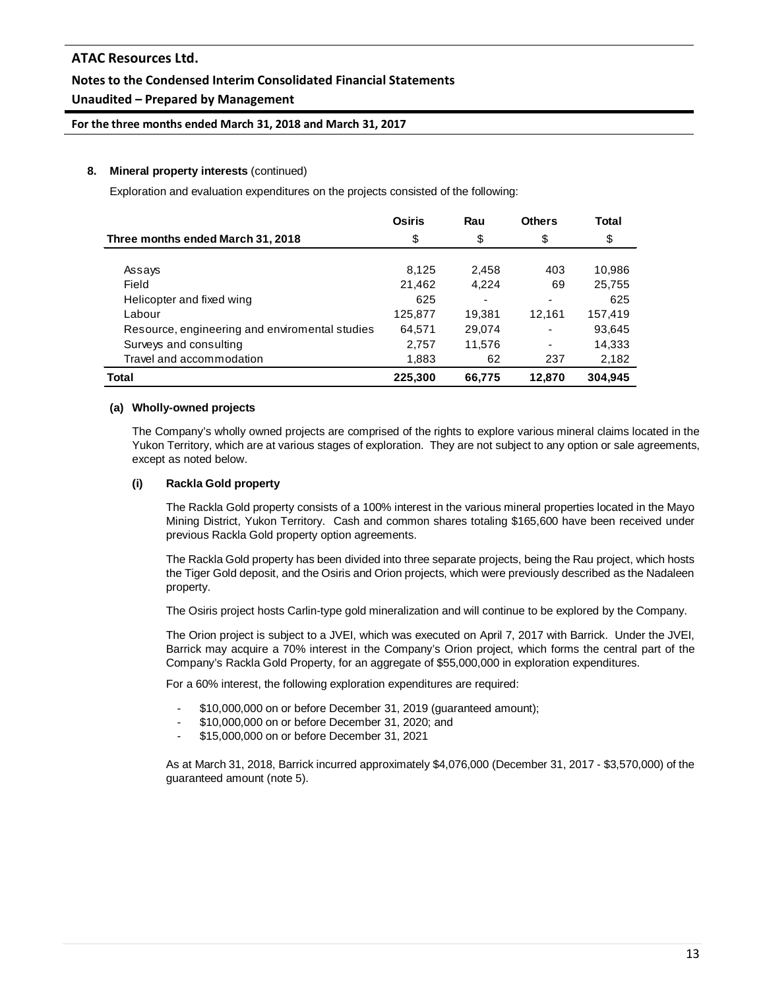## **Notes to the Condensed Interim Consolidated Financial Statements**

## **Unaudited – Prepared by Management**

**For the three months ended March 31, 2018 and March 31, 2017**

#### **8. Mineral property interests** (continued)

Exploration and evaluation expenditures on the projects consisted of the following:

|                                                | <b>Osiris</b> | Rau    | <b>Others</b> | <b>Total</b> |
|------------------------------------------------|---------------|--------|---------------|--------------|
| Three months ended March 31, 2018              | \$            | \$     | \$            | \$           |
|                                                |               |        |               |              |
| Assays                                         | 8,125         | 2,458  | 403           | 10,986       |
| Field                                          | 21,462        | 4.224  | 69            | 25,755       |
| Helicopter and fixed wing                      | 625           | ۰      | ٠             | 625          |
| Labour                                         | 125,877       | 19.381 | 12.161        | 157,419      |
| Resource, engineering and enviromental studies | 64,571        | 29,074 | ٠             | 93,645       |
| Surveys and consulting                         | 2,757         | 11,576 |               | 14,333       |
| Travel and accommodation                       | 1,883         | 62     | 237           | 2,182        |
| Total                                          | 225,300       | 66,775 | 12,870        | 304.945      |

#### **(a) Wholly-owned projects**

The Company's wholly owned projects are comprised of the rights to explore various mineral claims located in the Yukon Territory, which are at various stages of exploration. They are not subject to any option or sale agreements, except as noted below.

#### **(i) Rackla Gold property**

The Rackla Gold property consists of a 100% interest in the various mineral properties located in the Mayo Mining District, Yukon Territory. Cash and common shares totaling \$165,600 have been received under previous Rackla Gold property option agreements.

The Rackla Gold property has been divided into three separate projects, being the Rau project, which hosts the Tiger Gold deposit, and the Osiris and Orion projects, which were previously described as the Nadaleen property.

The Osiris project hosts Carlin-type gold mineralization and will continue to be explored by the Company.

The Orion project is subject to a JVEI, which was executed on April 7, 2017 with Barrick. Under the JVEI, Barrick may acquire a 70% interest in the Company's Orion project, which forms the central part of the Company's Rackla Gold Property, for an aggregate of \$55,000,000 in exploration expenditures.

For a 60% interest, the following exploration expenditures are required:

- \$10,000,000 on or before December 31, 2019 (guaranteed amount);
- \$10,000,000 on or before December 31, 2020; and
- \$15,000,000 on or before December 31, 2021

As at March 31, 2018, Barrick incurred approximately \$4,076,000 (December 31, 2017 - \$3,570,000) of the guaranteed amount (note 5).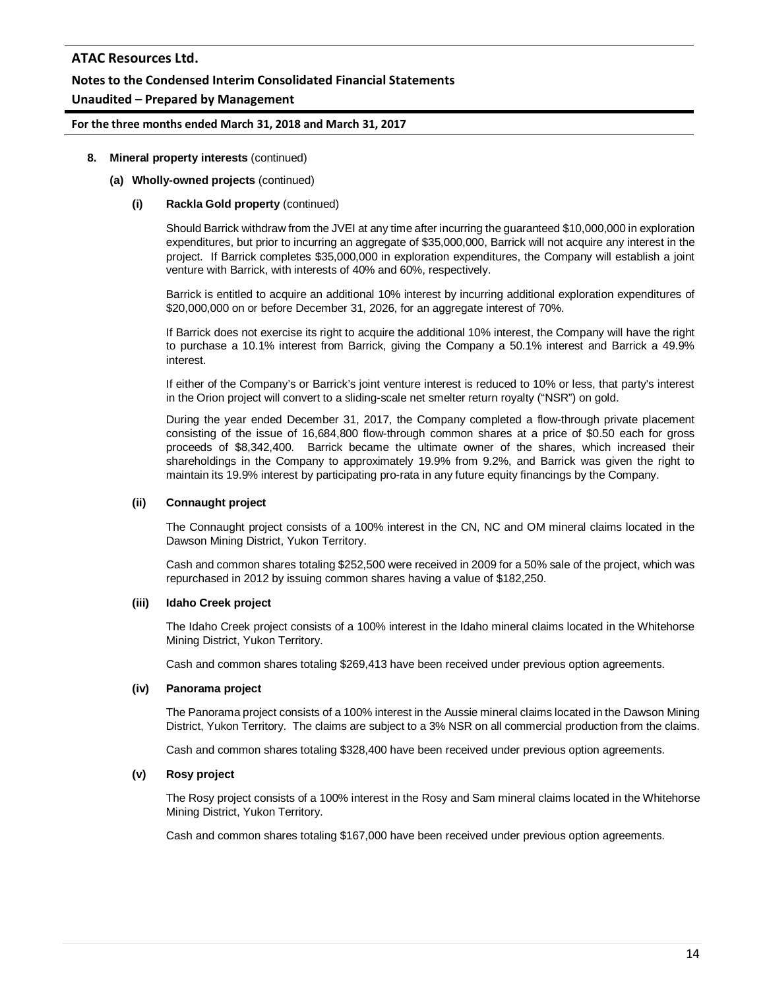## **Notes to the Condensed Interim Consolidated Financial Statements**

## **Unaudited – Prepared by Management**

#### **For the three months ended March 31, 2018 and March 31, 2017**

#### **8. Mineral property interests** (continued)

#### **(a) Wholly-owned projects** (continued)

#### **(i) Rackla Gold property** (continued)

Should Barrick withdraw from the JVEI at any time after incurring the guaranteed \$10,000,000 in exploration expenditures, but prior to incurring an aggregate of \$35,000,000, Barrick will not acquire any interest in the project. If Barrick completes \$35,000,000 in exploration expenditures, the Company will establish a joint venture with Barrick, with interests of 40% and 60%, respectively.

Barrick is entitled to acquire an additional 10% interest by incurring additional exploration expenditures of \$20,000,000 on or before December 31, 2026, for an aggregate interest of 70%.

If Barrick does not exercise its right to acquire the additional 10% interest, the Company will have the right to purchase a 10.1% interest from Barrick, giving the Company a 50.1% interest and Barrick a 49.9% interest.

If either of the Company's or Barrick's joint venture interest is reduced to 10% or less, that party's interest in the Orion project will convert to a sliding-scale net smelter return royalty ("NSR") on gold.

During the year ended December 31, 2017, the Company completed a flow-through private placement consisting of the issue of 16,684,800 flow-through common shares at a price of \$0.50 each for gross proceeds of \$8,342,400. Barrick became the ultimate owner of the shares, which increased their shareholdings in the Company to approximately 19.9% from 9.2%, and Barrick was given the right to maintain its 19.9% interest by participating pro-rata in any future equity financings by the Company.

#### **(ii) Connaught project**

The Connaught project consists of a 100% interest in the CN, NC and OM mineral claims located in the Dawson Mining District, Yukon Territory.

Cash and common shares totaling \$252,500 were received in 2009 for a 50% sale of the project, which was repurchased in 2012 by issuing common shares having a value of \$182,250.

#### **(iii) Idaho Creek project**

The Idaho Creek project consists of a 100% interest in the Idaho mineral claims located in the Whitehorse Mining District, Yukon Territory.

Cash and common shares totaling \$269,413 have been received under previous option agreements.

#### **(iv) Panorama project**

The Panorama project consists of a 100% interest in the Aussie mineral claims located in the Dawson Mining District, Yukon Territory. The claims are subject to a 3% NSR on all commercial production from the claims.

Cash and common shares totaling \$328,400 have been received under previous option agreements.

#### **(v) Rosy project**

The Rosy project consists of a 100% interest in the Rosy and Sam mineral claims located in the Whitehorse Mining District, Yukon Territory.

Cash and common shares totaling \$167,000 have been received under previous option agreements.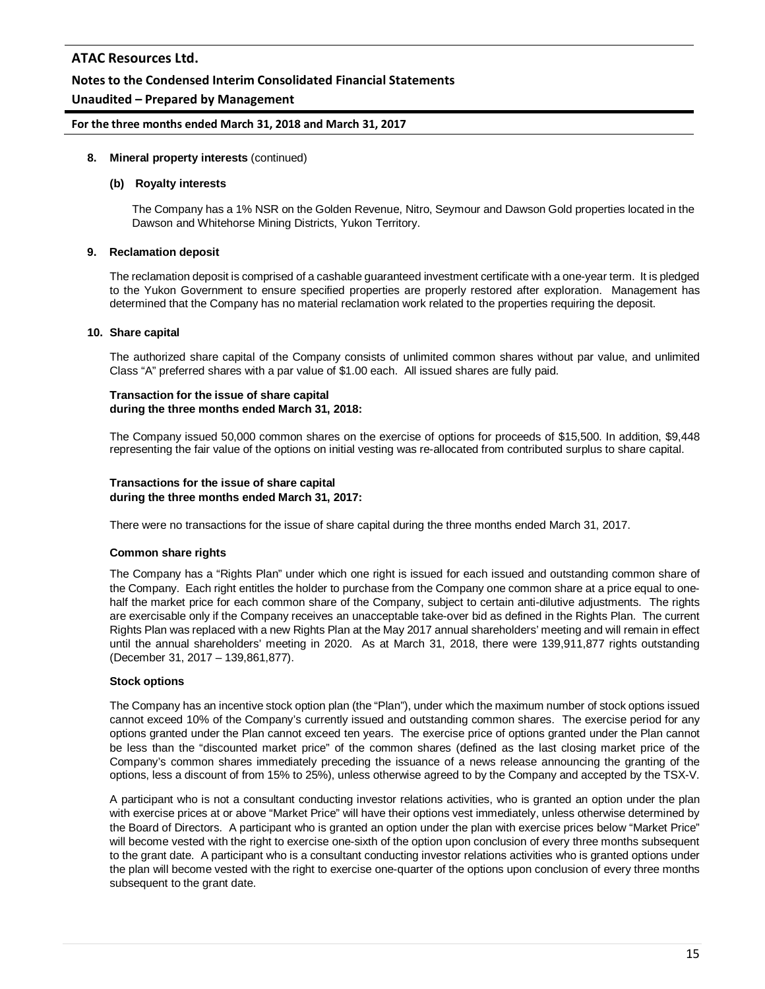#### **Notes to the Condensed Interim Consolidated Financial Statements**

#### **Unaudited – Prepared by Management**

#### **For the three months ended March 31, 2018 and March 31, 2017**

#### **8. Mineral property interests** (continued)

#### **(b) Royalty interests**

The Company has a 1% NSR on the Golden Revenue, Nitro, Seymour and Dawson Gold properties located in the Dawson and Whitehorse Mining Districts, Yukon Territory.

#### **9. Reclamation deposit**

The reclamation deposit is comprised of a cashable guaranteed investment certificate with a one-year term. It is pledged to the Yukon Government to ensure specified properties are properly restored after exploration. Management has determined that the Company has no material reclamation work related to the properties requiring the deposit.

#### **10. Share capital**

The authorized share capital of the Company consists of unlimited common shares without par value, and unlimited Class "A" preferred shares with a par value of \$1.00 each. All issued shares are fully paid.

#### **Transaction for the issue of share capital during the three months ended March 31, 2018:**

The Company issued 50,000 common shares on the exercise of options for proceeds of \$15,500. In addition, \$9,448 representing the fair value of the options on initial vesting was re-allocated from contributed surplus to share capital.

#### **Transactions for the issue of share capital during the three months ended March 31, 2017:**

There were no transactions for the issue of share capital during the three months ended March 31, 2017.

#### **Common share rights**

The Company has a "Rights Plan" under which one right is issued for each issued and outstanding common share of the Company. Each right entitles the holder to purchase from the Company one common share at a price equal to onehalf the market price for each common share of the Company, subject to certain anti-dilutive adjustments. The rights are exercisable only if the Company receives an unacceptable take-over bid as defined in the Rights Plan. The current Rights Plan was replaced with a new Rights Plan at the May 2017 annual shareholders' meeting and will remain in effect until the annual shareholders' meeting in 2020. As at March 31, 2018, there were 139,911,877 rights outstanding (December 31, 2017 – 139,861,877).

#### **Stock options**

The Company has an incentive stock option plan (the "Plan"), under which the maximum number of stock options issued cannot exceed 10% of the Company's currently issued and outstanding common shares. The exercise period for any options granted under the Plan cannot exceed ten years. The exercise price of options granted under the Plan cannot be less than the "discounted market price" of the common shares (defined as the last closing market price of the Company's common shares immediately preceding the issuance of a news release announcing the granting of the options, less a discount of from 15% to 25%), unless otherwise agreed to by the Company and accepted by the TSX-V.

A participant who is not a consultant conducting investor relations activities, who is granted an option under the plan with exercise prices at or above "Market Price" will have their options vest immediately, unless otherwise determined by the Board of Directors. A participant who is granted an option under the plan with exercise prices below "Market Price" will become vested with the right to exercise one-sixth of the option upon conclusion of every three months subsequent to the grant date. A participant who is a consultant conducting investor relations activities who is granted options under the plan will become vested with the right to exercise one-quarter of the options upon conclusion of every three months subsequent to the grant date.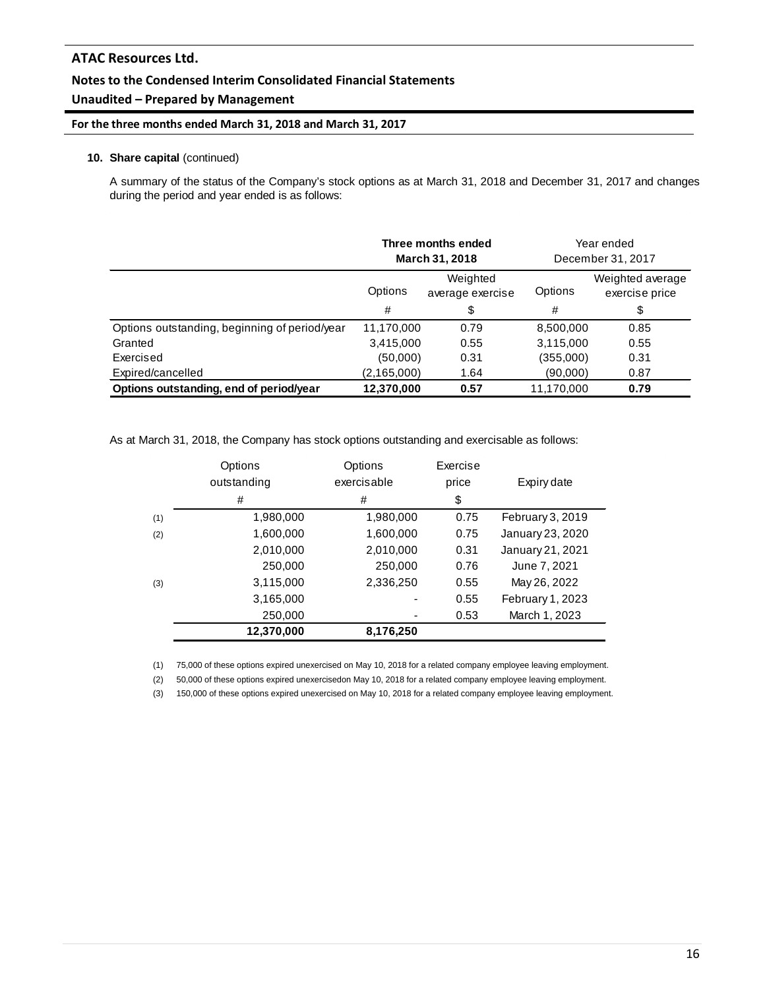## **Unaudited – Prepared by Management**

#### **For the three months ended March 31, 2018 and March 31, 2017**

#### **10. Share capital** (continued)

A summary of the status of the Company's stock options as at March 31, 2018 and December 31, 2017 and changes during the period and year ended is as follows:

|                                               | Three months ended<br>March 31, 2018 |                              | Year ended<br>December 31, 2017 |                                    |
|-----------------------------------------------|--------------------------------------|------------------------------|---------------------------------|------------------------------------|
|                                               | Options                              | Weighted<br>average exercise | Options                         | Weighted average<br>exercise price |
|                                               | #                                    | \$                           | #                               | \$                                 |
| Options outstanding, beginning of period/year | 11,170,000                           | 0.79                         | 8,500,000                       | 0.85                               |
| Granted                                       | 3,415,000                            | 0.55                         | 3,115,000                       | 0.55                               |
| Exercised                                     | (50,000)                             | 0.31                         | (355,000)                       | 0.31                               |
| Expired/cancelled                             | (2, 165, 000)                        | 1.64                         | (90,000)                        | 0.87                               |
| Options outstanding, end of period/year       | 12,370,000                           | 0.57                         | 11.170.000                      | 0.79                               |

As at March 31, 2018, the Company has stock options outstanding and exercisable as follows:

|     | Options     | Options     | Exercise |                  |  |
|-----|-------------|-------------|----------|------------------|--|
|     | outstanding | exercisable | price    | Expiry date      |  |
|     | #           | #           | \$       |                  |  |
| (1) | 1,980,000   | 1,980,000   | 0.75     | February 3, 2019 |  |
| (2) | 1,600,000   | 1,600,000   | 0.75     | January 23, 2020 |  |
|     | 2,010,000   | 2,010,000   | 0.31     | January 21, 2021 |  |
|     | 250,000     | 250,000     | 0.76     | June 7, 2021     |  |
| (3) | 3,115,000   | 2,336,250   | 0.55     | May 26, 2022     |  |
|     | 3,165,000   |             | 0.55     | February 1, 2023 |  |
|     | 250,000     |             | 0.53     | March 1, 2023    |  |
|     | 12,370,000  | 8,176,250   |          |                  |  |

(1) 75,000 of these options expired unexercised on May 10, 2018 for a related company employee leaving employment.

(2) 50,000 of these options expired unexercisedon May 10, 2018 for a related company employee leaving employment.

(3) 150,000 of these options expired unexercised on May 10, 2018 for a related company employee leaving employment.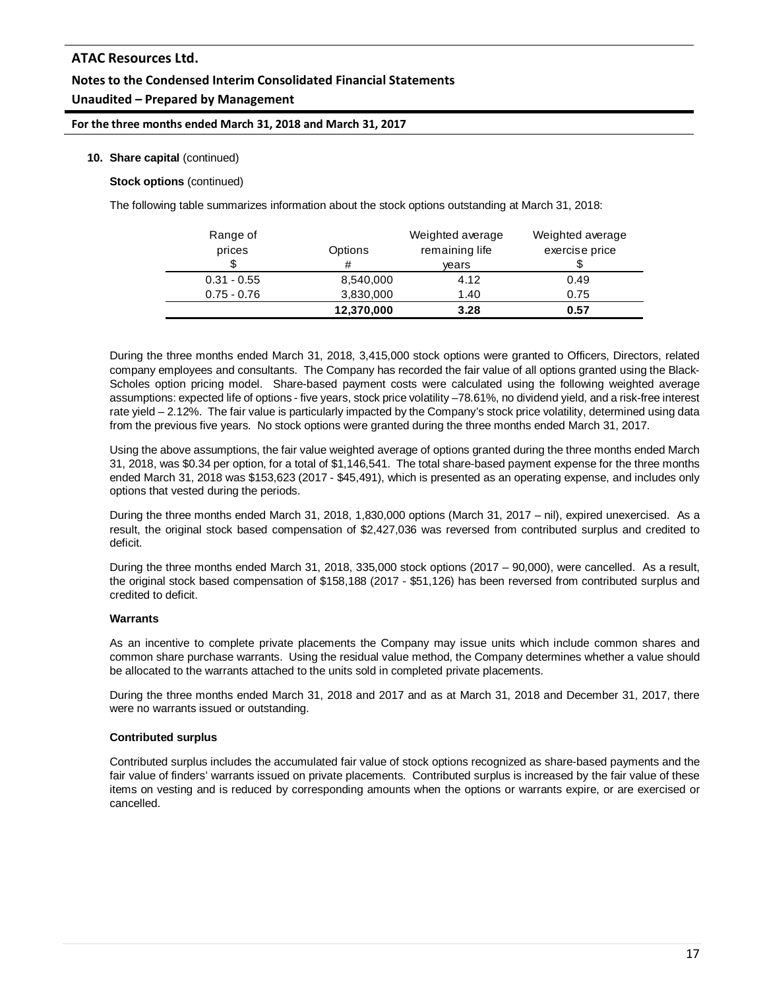## **Unaudited – Prepared by Management**

**For the three months ended March 31, 2018 and March 31, 2017**

#### **10. Share capital** (continued)

**Stock options** (continued)

The following table summarizes information about the stock options outstanding at March 31, 2018:

| Range of<br>prices | Options<br># | Weighted average<br>remaining life<br>years | Weighted average<br>exercise price |
|--------------------|--------------|---------------------------------------------|------------------------------------|
| $0.31 - 0.55$      | 8,540,000    | 4.12                                        | 0.49                               |
| $0.75 - 0.76$      | 3,830,000    | 1.40                                        | 0.75                               |
|                    | 12,370,000   | 3.28                                        | 0.57                               |

During the three months ended March 31, 2018, 3,415,000 stock options were granted to Officers, Directors, related company employees and consultants. The Company has recorded the fair value of all options granted using the Black-Scholes option pricing model. Share-based payment costs were calculated using the following weighted average assumptions: expected life of options - five years, stock price volatility –78.61%, no dividend yield, and a risk-free interest rate yield – 2.12%. The fair value is particularly impacted by the Company's stock price volatility, determined using data from the previous five years. No stock options were granted during the three months ended March 31, 2017.

Using the above assumptions, the fair value weighted average of options granted during the three months ended March 31, 2018, was \$0.34 per option, for a total of \$1,146,541. The total share-based payment expense for the three months ended March 31, 2018 was \$153,623 (2017 - \$45,491), which is presented as an operating expense, and includes only options that vested during the periods.

During the three months ended March 31, 2018, 1,830,000 options (March 31, 2017 – nil), expired unexercised. As a result, the original stock based compensation of \$2,427,036 was reversed from contributed surplus and credited to deficit.

During the three months ended March 31, 2018, 335,000 stock options (2017 – 90,000), were cancelled. As a result, the original stock based compensation of \$158,188 (2017 - \$51,126) has been reversed from contributed surplus and credited to deficit.

#### **Warrants**

As an incentive to complete private placements the Company may issue units which include common shares and common share purchase warrants. Using the residual value method, the Company determines whether a value should be allocated to the warrants attached to the units sold in completed private placements.

During the three months ended March 31, 2018 and 2017 and as at March 31, 2018 and December 31, 2017, there were no warrants issued or outstanding.

#### **Contributed surplus**

Contributed surplus includes the accumulated fair value of stock options recognized as share-based payments and the fair value of finders' warrants issued on private placements. Contributed surplus is increased by the fair value of these items on vesting and is reduced by corresponding amounts when the options or warrants expire, or are exercised or cancelled.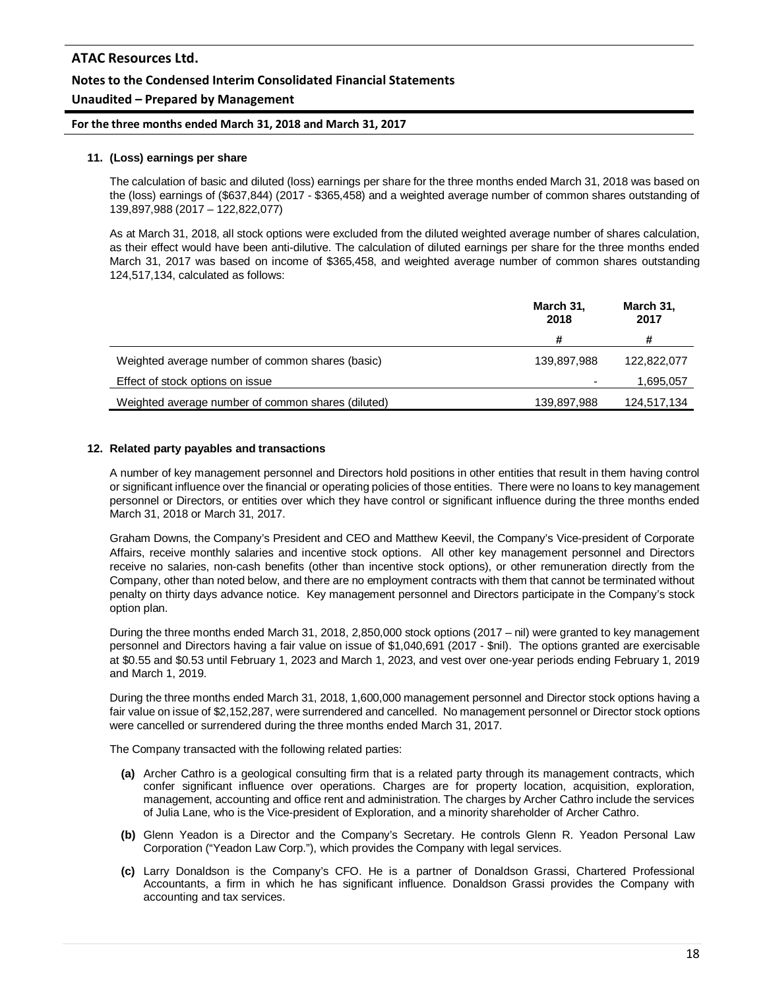#### **Unaudited – Prepared by Management**

**For the three months ended March 31, 2018 and March 31, 2017**

#### **11. (Loss) earnings per share**

The calculation of basic and diluted (loss) earnings per share for the three months ended March 31, 2018 was based on the (loss) earnings of (\$637,844) (2017 - \$365,458) and a weighted average number of common shares outstanding of 139,897,988 (2017 – 122,822,077)

As at March 31, 2018, all stock options were excluded from the diluted weighted average number of shares calculation, as their effect would have been anti-dilutive. The calculation of diluted earnings per share for the three months ended March 31, 2017 was based on income of \$365,458, and weighted average number of common shares outstanding 124,517,134, calculated as follows:

|                                                    | March 31,<br>2018 | March 31,<br>2017 |
|----------------------------------------------------|-------------------|-------------------|
|                                                    | #                 | #                 |
| Weighted average number of common shares (basic)   | 139,897,988       | 122,822,077       |
| Effect of stock options on issue                   |                   | 1,695,057         |
| Weighted average number of common shares (diluted) | 139,897,988       | 124,517,134       |

#### **12. Related party payables and transactions**

A number of key management personnel and Directors hold positions in other entities that result in them having control or significant influence over the financial or operating policies of those entities. There were no loans to key management personnel or Directors, or entities over which they have control or significant influence during the three months ended March 31, 2018 or March 31, 2017.

Graham Downs, the Company's President and CEO and Matthew Keevil, the Company's Vice-president of Corporate Affairs, receive monthly salaries and incentive stock options. All other key management personnel and Directors receive no salaries, non-cash benefits (other than incentive stock options), or other remuneration directly from the Company, other than noted below, and there are no employment contracts with them that cannot be terminated without penalty on thirty days advance notice. Key management personnel and Directors participate in the Company's stock option plan.

During the three months ended March 31, 2018, 2,850,000 stock options (2017 – nil) were granted to key management personnel and Directors having a fair value on issue of \$1,040,691 (2017 - \$nil). The options granted are exercisable at \$0.55 and \$0.53 until February 1, 2023 and March 1, 2023, and vest over one-year periods ending February 1, 2019 and March 1, 2019.

During the three months ended March 31, 2018, 1,600,000 management personnel and Director stock options having a fair value on issue of \$2,152,287, were surrendered and cancelled. No management personnel or Director stock options were cancelled or surrendered during the three months ended March 31, 2017.

The Company transacted with the following related parties:

- **(a)** Archer Cathro is a geological consulting firm that is a related party through its management contracts, which confer significant influence over operations. Charges are for property location, acquisition, exploration, management, accounting and office rent and administration. The charges by Archer Cathro include the services of Julia Lane, who is the Vice-president of Exploration, and a minority shareholder of Archer Cathro.
- **(b)** Glenn Yeadon is a Director and the Company's Secretary. He controls Glenn R. Yeadon Personal Law Corporation ("Yeadon Law Corp."), which provides the Company with legal services.
- **(c)** Larry Donaldson is the Company's CFO. He is a partner of Donaldson Grassi, Chartered Professional Accountants, a firm in which he has significant influence. Donaldson Grassi provides the Company with accounting and tax services.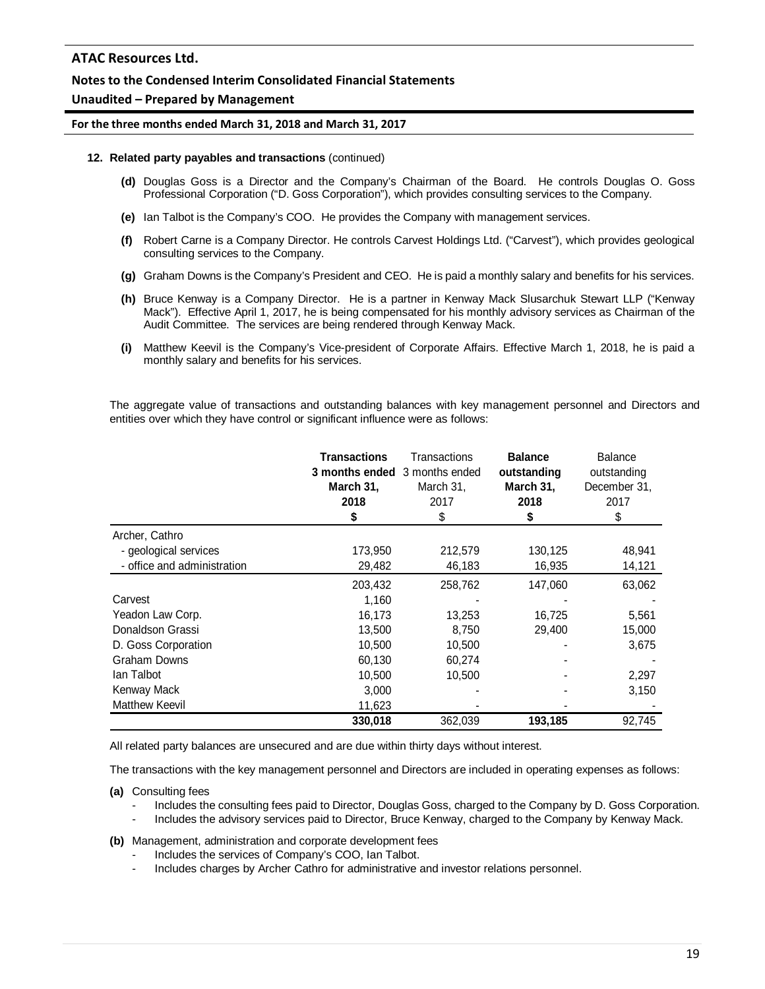#### **Unaudited – Prepared by Management**

#### **For the three months ended March 31, 2018 and March 31, 2017**

#### **12. Related party payables and transactions** (continued)

- **(d)** Douglas Goss is a Director and the Company's Chairman of the Board. He controls Douglas O. Goss Professional Corporation ("D. Goss Corporation"), which provides consulting services to the Company.
- **(e)** Ian Talbot is the Company's COO. He provides the Company with management services.
- **(f)** Robert Carne is a Company Director. He controls Carvest Holdings Ltd. ("Carvest"), which provides geological consulting services to the Company.
- **(g)** Graham Downs is the Company's President and CEO. He is paid a monthly salary and benefits for his services.
- **(h)** Bruce Kenway is a Company Director. He is a partner in Kenway Mack Slusarchuk Stewart LLP ("Kenway Mack"). Effective April 1, 2017, he is being compensated for his monthly advisory services as Chairman of the Audit Committee. The services are being rendered through Kenway Mack.
- **(i)** Matthew Keevil is the Company's Vice-president of Corporate Affairs. Effective March 1, 2018, he is paid a monthly salary and benefits for his services.

The aggregate value of transactions and outstanding balances with key management personnel and Directors and entities over which they have control or significant influence were as follows:

|                             | Transactions<br><b>3 months ended</b> 3 months ended<br>March 31,<br>2018 | Transactions<br>March 31,<br>2017<br>\$ | <b>Balance</b><br>outstanding<br>March 31,<br>2018<br>5 | <b>Balance</b><br>outstanding<br>December 31,<br>2017<br>\$ |
|-----------------------------|---------------------------------------------------------------------------|-----------------------------------------|---------------------------------------------------------|-------------------------------------------------------------|
| Archer, Cathro              |                                                                           |                                         |                                                         |                                                             |
| - geological services       | 173,950                                                                   | 212,579                                 | 130,125                                                 | 48,941                                                      |
| - office and administration | 29,482                                                                    | 46,183                                  | 16,935                                                  | 14,121                                                      |
|                             | 203,432                                                                   | 258,762                                 | 147,060                                                 | 63,062                                                      |
| Carvest                     | 1,160                                                                     |                                         |                                                         |                                                             |
| Yeadon Law Corp.            | 16,173                                                                    | 13,253                                  | 16,725                                                  | 5,561                                                       |
| Donaldson Grassi            | 13,500                                                                    | 8,750                                   | 29,400                                                  | 15,000                                                      |
| D. Goss Corporation         | 10,500                                                                    | 10,500                                  |                                                         | 3,675                                                       |
| Graham Downs                | 60,130                                                                    | 60,274                                  |                                                         |                                                             |
| lan Talbot                  | 10,500                                                                    | 10,500                                  |                                                         | 2,297                                                       |
| Kenway Mack                 | 3,000                                                                     |                                         |                                                         | 3,150                                                       |
| <b>Matthew Keevil</b>       | 11,623                                                                    |                                         |                                                         |                                                             |
|                             | 330.018                                                                   | 362.039                                 | 193,185                                                 | 92,745                                                      |

All related party balances are unsecured and are due within thirty days without interest.

The transactions with the key management personnel and Directors are included in operating expenses as follows:

**(a)** Consulting fees

- Includes the consulting fees paid to Director, Douglas Goss, charged to the Company by D. Goss Corporation.
- Includes the advisory services paid to Director, Bruce Kenway, charged to the Company by Kenway Mack.

**(b)** Management, administration and corporate development fees

- Includes the services of Company's COO, Ian Talbot.
- Includes charges by Archer Cathro for administrative and investor relations personnel.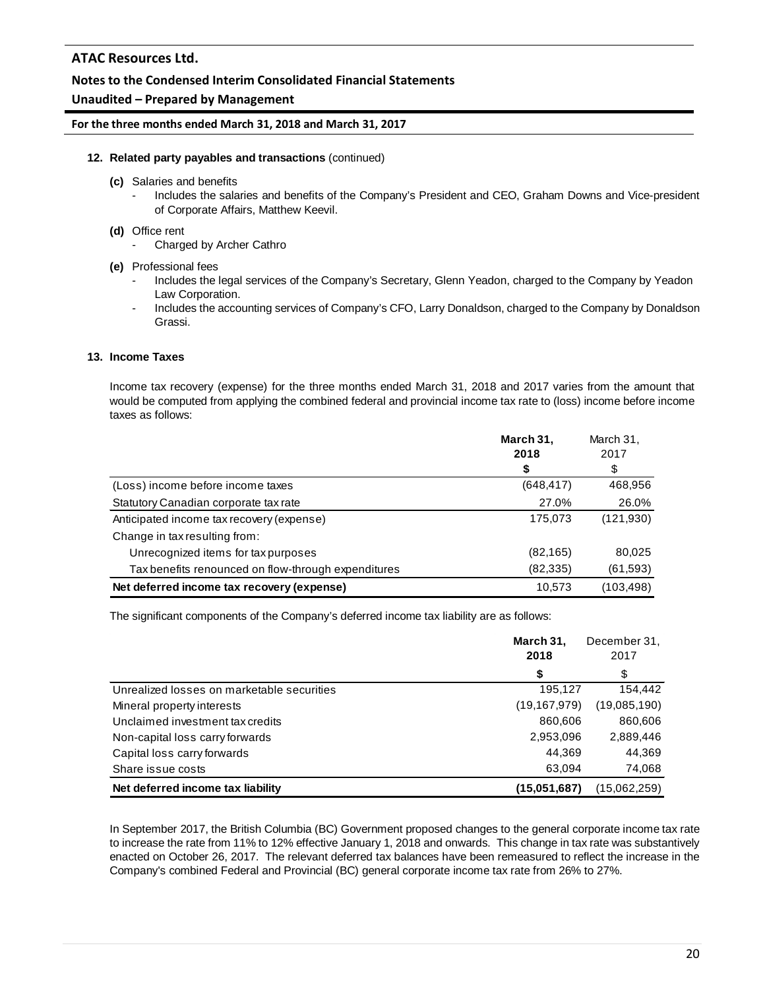## **Notes to the Condensed Interim Consolidated Financial Statements**

## **Unaudited – Prepared by Management**

#### **For the three months ended March 31, 2018 and March 31, 2017**

#### **12. Related party payables and transactions** (continued)

- **(c)** Salaries and benefits
	- Includes the salaries and benefits of the Company's President and CEO, Graham Downs and Vice-president of Corporate Affairs, Matthew Keevil.

#### **(d)** Office rent

- Charged by Archer Cathro
- **(e)** Professional fees
	- Includes the legal services of the Company's Secretary, Glenn Yeadon, charged to the Company by Yeadon Law Corporation.
	- Includes the accounting services of Company's CFO, Larry Donaldson, charged to the Company by Donaldson Grassi.

## **13. Income Taxes**

Income tax recovery (expense) for the three months ended March 31, 2018 and 2017 varies from the amount that would be computed from applying the combined federal and provincial income tax rate to (loss) income before income taxes as follows:

|                                                     | March 31,<br>2018 | March 31,<br>2017<br>\$ |
|-----------------------------------------------------|-------------------|-------------------------|
| (Loss) income before income taxes                   | (648, 417)        | 468,956                 |
| Statutory Canadian corporate tax rate               | 27.0%             | 26.0%                   |
| Anticipated income tax recovery (expense)           | 175,073           | (121,930)               |
| Change in tax resulting from:                       |                   |                         |
| Unrecognized items for tax purposes                 | (82, 165)         | 80,025                  |
| Tax benefits renounced on flow-through expenditures | (82,335)          | (61,593)                |
| Net deferred income tax recovery (expense)          | 10,573            | (103,498)               |

The significant components of the Company's deferred income tax liability are as follows:

|                                            | March 31,<br>2018 | December 31,<br>2017 |
|--------------------------------------------|-------------------|----------------------|
|                                            | \$                | \$                   |
| Unrealized losses on marketable securities | 195,127           | 154,442              |
| Mineral property interests                 | (19, 167, 979)    | (19,085,190)         |
| Unclaimed investment tax credits           | 860,606           | 860,606              |
| Non-capital loss carry forwards            | 2,953,096         | 2,889,446            |
| Capital loss carry forwards                | 44.369            | 44,369               |
| Share issue costs                          | 63,094            | 74,068               |
| Net deferred income tax liability          | (15,051,687)      | (15.062,259)         |

In September 2017, the British Columbia (BC) Government proposed changes to the general corporate income tax rate to increase the rate from 11% to 12% effective January 1, 2018 and onwards. This change in tax rate was substantively enacted on October 26, 2017. The relevant deferred tax balances have been remeasured to reflect the increase in the Company's combined Federal and Provincial (BC) general corporate income tax rate from 26% to 27%.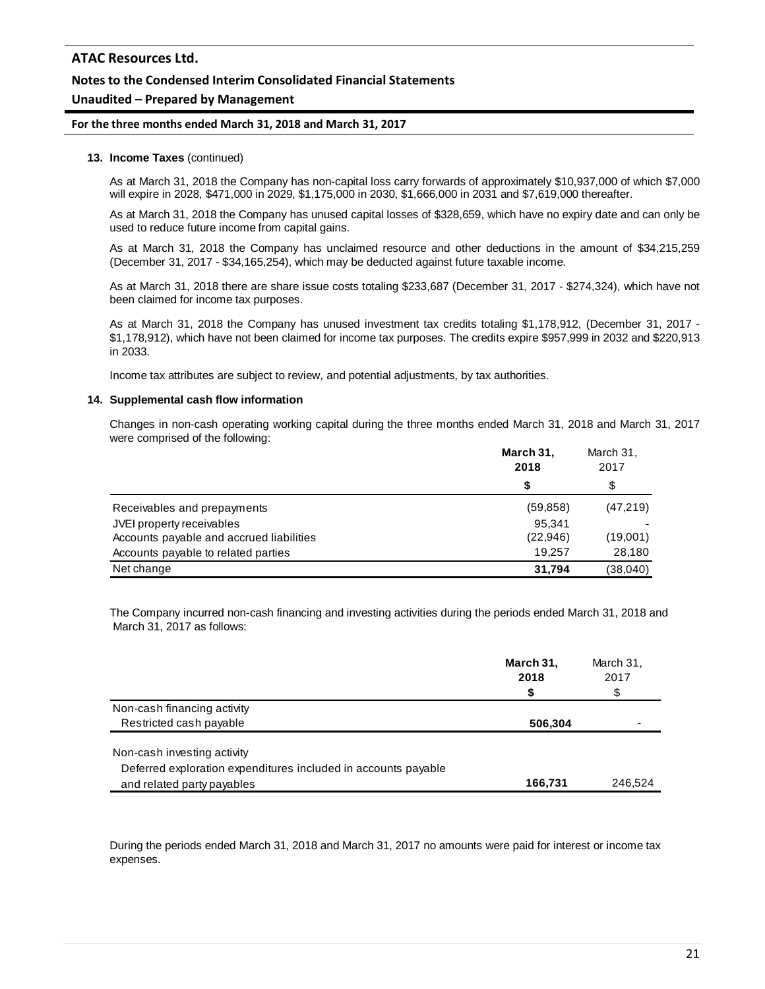## **Notes to the Condensed Interim Consolidated Financial Statements**

## **Unaudited – Prepared by Management**

#### **For the three months ended March 31, 2018 and March 31, 2017**

#### **13. Income Taxes** (continued)

As at March 31, 2018 the Company has non-capital loss carry forwards of approximately \$10,937,000 of which \$7,000 will expire in 2028, \$471,000 in 2029, \$1,175,000 in 2030, \$1,666,000 in 2031 and \$7,619,000 thereafter.

As at March 31, 2018 the Company has unused capital losses of \$328,659, which have no expiry date and can only be used to reduce future income from capital gains.

As at March 31, 2018 the Company has unclaimed resource and other deductions in the amount of \$34,215,259 (December 31, 2017 - \$34,165,254), which may be deducted against future taxable income.

As at March 31, 2018 there are share issue costs totaling \$233,687 (December 31, 2017 - \$274,324), which have not been claimed for income tax purposes.

As at March 31, 2018 the Company has unused investment tax credits totaling \$1,178,912, (December 31, 2017 - \$1,178,912), which have not been claimed for income tax purposes. The credits expire \$957,999 in 2032 and \$220,913 in 2033.

Income tax attributes are subject to review, and potential adjustments, by tax authorities.

#### **14. Supplemental cash flow information**

Changes in non-cash operating working capital during the three months ended March 31, 2018 and March 31, 2017 were comprised of the following:

|                                          | March 31,<br>2018 | March 31,<br>2017 |
|------------------------------------------|-------------------|-------------------|
|                                          | S                 | \$                |
| Receivables and prepayments              | (59, 858)         | (47,219)          |
| JVEI property receivables                | 95.341            |                   |
| Accounts payable and accrued liabilities | (22, 946)         | (19,001)          |
| Accounts payable to related parties      | 19.257            | 28,180            |
| Net change                               | 31,794            | (38,040)          |

The Company incurred non-cash financing and investing activities during the periods ended March 31, 2018 and March 31, 2017 as follows:

|                                                                | March 31,<br>2018 | March 31,<br>2017 |
|----------------------------------------------------------------|-------------------|-------------------|
|                                                                | S                 | \$                |
| Non-cash financing activity                                    |                   |                   |
| Restricted cash payable                                        | 506,304           | -                 |
| Non-cash investing activity                                    |                   |                   |
| Deferred exploration expenditures included in accounts payable |                   |                   |
| and related party payables                                     | 166,731           | 246.524           |

During the periods ended March 31, 2018 and March 31, 2017 no amounts were paid for interest or income tax expenses.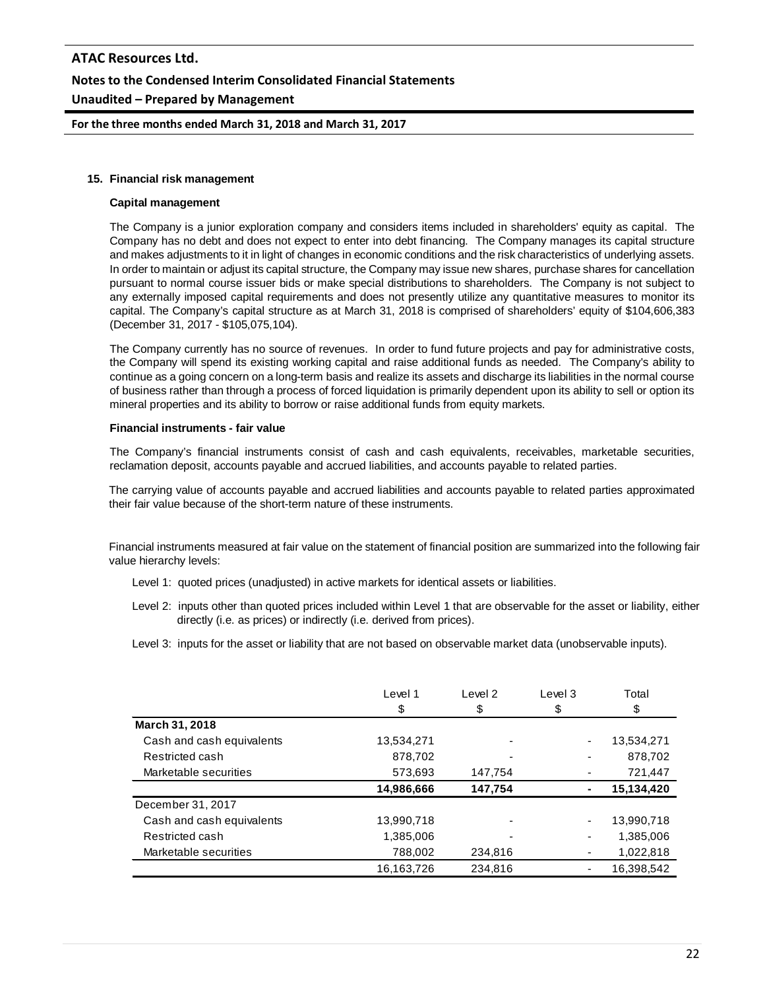# **ATAC Resources Ltd. Notes to the Condensed Interim Consolidated Financial Statements Unaudited – Prepared by Management**

**For the three months ended March 31, 2018 and March 31, 2017**

#### **15. Financial risk management**

#### **Capital management**

The Company is a junior exploration company and considers items included in shareholders' equity as capital. The Company has no debt and does not expect to enter into debt financing. The Company manages its capital structure and makes adjustments to it in light of changes in economic conditions and the risk characteristics of underlying assets. In order to maintain or adjust its capital structure, the Company may issue new shares, purchase shares for cancellation pursuant to normal course issuer bids or make special distributions to shareholders. The Company is not subject to any externally imposed capital requirements and does not presently utilize any quantitative measures to monitor its capital. The Company's capital structure as at March 31, 2018 is comprised of shareholders' equity of \$104,606,383 (December 31, 2017 - \$105,075,104).

The Company currently has no source of revenues. In order to fund future projects and pay for administrative costs, the Company will spend its existing working capital and raise additional funds as needed. The Company's ability to continue as a going concern on a long-term basis and realize its assets and discharge its liabilities in the normal course of business rather than through a process of forced liquidation is primarily dependent upon its ability to sell or option its mineral properties and its ability to borrow or raise additional funds from equity markets.

#### **Financial instruments - fair value**

The Company's financial instruments consist of cash and cash equivalents, receivables, marketable securities, reclamation deposit, accounts payable and accrued liabilities, and accounts payable to related parties.

The carrying value of accounts payable and accrued liabilities and accounts payable to related parties approximated their fair value because of the short-term nature of these instruments.

Financial instruments measured at fair value on the statement of financial position are summarized into the following fair value hierarchy levels:

- Level 1: quoted prices (unadjusted) in active markets for identical assets or liabilities.
- Level 2: inputs other than quoted prices included within Level 1 that are observable for the asset or liability, either directly (i.e. as prices) or indirectly (i.e. derived from prices).
- Level 3: inputs for the asset or liability that are not based on observable market data (unobservable inputs).

|                           | Level 1    | Level 2 | Level 3 | Total      |
|---------------------------|------------|---------|---------|------------|
|                           | \$         | \$      | \$      | \$         |
| <b>March 31, 2018</b>     |            |         |         |            |
| Cash and cash equivalents | 13,534,271 |         | ٠       | 13,534,271 |
| Restricted cash           | 878,702    |         |         | 878,702    |
| Marketable securities     | 573,693    | 147.754 |         | 721,447    |
|                           | 14,986,666 | 147,754 |         | 15,134,420 |
| December 31, 2017         |            |         |         |            |
| Cash and cash equivalents | 13,990,718 |         | ٠       | 13,990,718 |
| Restricted cash           | 1,385,006  |         |         | 1,385,006  |
| Marketable securities     | 788,002    | 234,816 |         | 1,022,818  |
|                           | 16,163,726 | 234.816 |         | 16,398,542 |